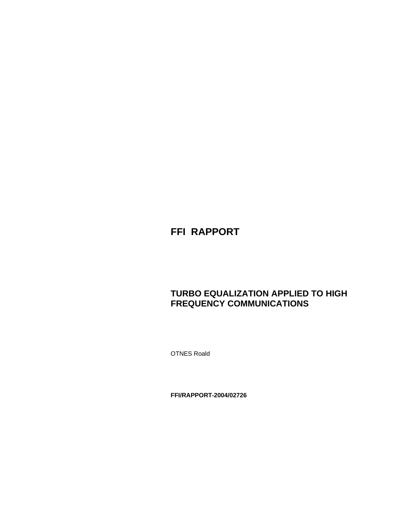# **FFI RAPPORT**

# **TURBO EQUALIZATION APPLIED TO HIGH FREQUENCY COMMUNICATIONS**

OTNES Roald

**FFI/RAPPORT-2004/02726**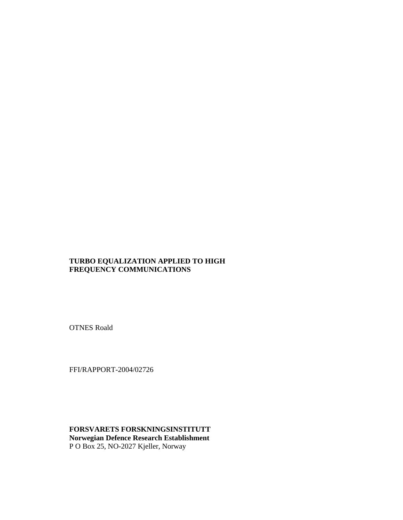#### **TURBO EQUALIZATION APPLIED TO HIGH FREQUENCY COMMUNICATIONS**

OTNES Roald

FFI/RAPPORT-2004/02726

**FORSVARETS FORSKNINGSINSTITUTT Norwegian Defence Research Establishment**  P O Box 25, NO-2027 Kjeller, Norway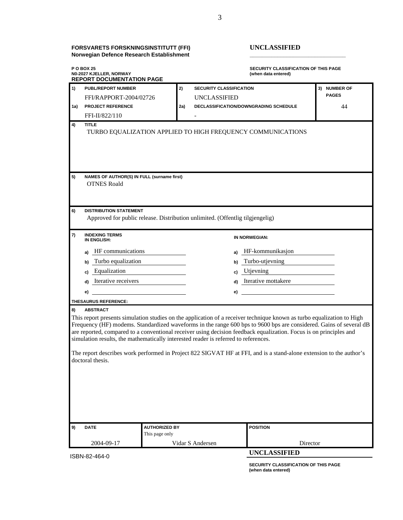#### **FORSVARETS FORSKNINGSINSTITUTT (FFI) UNCLASSIFIED Norwegian Defence Research Establishment \_\_\_\_\_\_\_\_\_\_\_\_\_\_\_\_\_\_\_\_\_\_\_\_\_\_\_\_\_\_\_**

**P O BOX 25 SECURITY CLASSIFICATION OF THIS PAGE N0-2027 KJELLER, NORWAY (when data entered) REPORT DOCUMENTATION PAGE 1) PUBL/REPORT NUMBER 2) SECURITY CLASSIFICATION 3) NUMBER OF**  FFI/RAPPORT-2004/02726 UNCLASSIFIED **PAGES 1a) PROJECT REFERENCE 2a) DECLASSIFICATION/DOWNGRADING SCHEDULE** 44 FFI-II/822/110 **4) TITLE**  TURBO EQUALIZATION APPLIED TO HIGH FREQUENCY COMMUNICATIONS **5) NAMES OF AUTHOR(S) IN FULL (surname first)**  OTNES Roald **6) DISTRIBUTION STATEMENT**  Approved for public release. Distribution unlimited. (Offentlig tilgjengelig) **7) INDEXING TERMS IN NORWEGIAN: a)** HF communications **a)** HF-kommunikasjon **b)** Turbo equalization **b**) **Turbo-utjevning c)** Equalization **c)** Utjevning **d)** Iterative receivers **d**) Iterative mottakere  **e) e) THESAURUS REFERENCE: 8) ABSTRACT**  This report presents simulation studies on the application of a receiver technique known as turbo equalization to High Frequency (HF) modems. Standardized waveforms in the range 600 bps to 9600 bps are considered. Gains of several dB are reported, compared to a conventional receiver using decision feedback equalization. Focus is on principles and simulation results, the mathematically interested reader is referred to references. The report describes work performed in Project 822 SIGVAT HF at FFI, and is a stand-alone extension to the author's doctoral thesis. **9) DATE AUTHORIZED BY POSITION** This page only 2004-09-17 Vidar S Andersen Director

ISBN-82-464-0

 **SECURITY CLASSIFICATION OF THIS PAGE (when data entered)** 

**UNCLASSIFIED**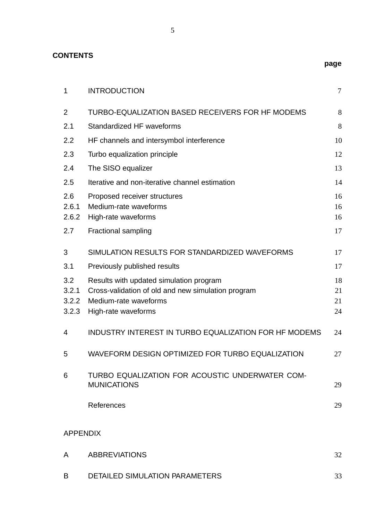| <b>CONTENTS</b>                |                                                                                                                                               | page                 |
|--------------------------------|-----------------------------------------------------------------------------------------------------------------------------------------------|----------------------|
| 1                              | <b>INTRODUCTION</b>                                                                                                                           | 7                    |
| $\overline{2}$                 | TURBO-EQUALIZATION BASED RECEIVERS FOR HF MODEMS                                                                                              | 8                    |
| 2.1                            | Standardized HF waveforms                                                                                                                     | 8                    |
| 2.2                            | HF channels and intersymbol interference                                                                                                      | 10                   |
| 2.3                            | Turbo equalization principle                                                                                                                  | 12                   |
| 2.4                            | The SISO equalizer                                                                                                                            | 13                   |
| 2.5                            | Iterative and non-iterative channel estimation                                                                                                | 14                   |
| 2.6<br>2.6.1<br>2.6.2          | Proposed receiver structures<br>Medium-rate waveforms<br>High-rate waveforms                                                                  | 16<br>16<br>16       |
| 2.7                            | Fractional sampling                                                                                                                           | 17                   |
| 3                              | SIMULATION RESULTS FOR STANDARDIZED WAVEFORMS                                                                                                 | 17                   |
| 3.1                            | Previously published results                                                                                                                  | 17                   |
| 3.2<br>3.2.1<br>3.2.2<br>3.2.3 | Results with updated simulation program<br>Cross-validation of old and new simulation program<br>Medium-rate waveforms<br>High-rate waveforms | 18<br>21<br>21<br>24 |
| 4                              | <b>INDUSTRY INTEREST IN TURBO EQUALIZATION FOR HF MODEMS</b>                                                                                  | 24                   |
| 5                              | WAVEFORM DESIGN OPTIMIZED FOR TURBO EQUALIZATION                                                                                              | 27                   |
| 6                              | TURBO EQUALIZATION FOR ACOUSTIC UNDERWATER COM-<br><b>MUNICATIONS</b>                                                                         | 29                   |
|                                | References                                                                                                                                    | 29                   |
| <b>APPENDIX</b>                |                                                                                                                                               |                      |
| A                              | <b>ABBREVIATIONS</b>                                                                                                                          | 32                   |

| DETAILED SIMULATION PARAMETERS |  |
|--------------------------------|--|

5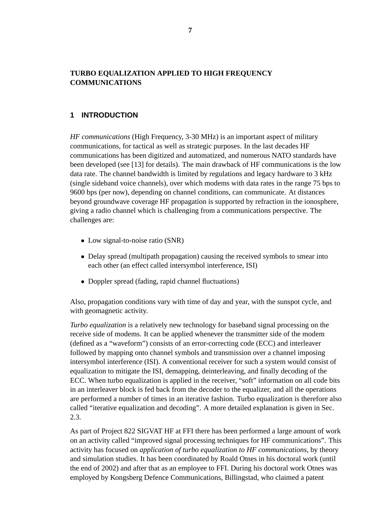# **TURBO EQUALIZATION APPLIED TO HIGH FREQUENCY COMMUNICATIONS**

#### **1 INTRODUCTION**

*HF communications* (High Frequency, 3-30 MHz) is an important aspect of military communications, for tactical as well as strategic purposes. In the last decades HF communications has been digitized and automatized, and numerous NATO standards have been developed (see [13] for details). The main drawback of HF communications is the low data rate. The channel bandwidth is limited by regulations and legacy hardware to 3 kHz (single sideband voice channels), over which modems with data rates in the range 75 bps to 9600 bps (per now), depending on channel conditions, can communicate. At distances beyond groundwave coverage HF propagation is supported by refraction in the ionosphere, giving a radio channel which is challenging from a communications perspective. The challenges are:

- Low signal-to-noise ratio (SNR)
- Delay spread (multipath propagation) causing the received symbols to smear into each other (an effect called intersymbol interference, ISI)
- Doppler spread (fading, rapid channel fluctuations)

Also, propagation conditions vary with time of day and year, with the sunspot cycle, and with geomagnetic activity.

*Turbo equalization* is a relatively new technology for baseband signal processing on the receive side of modems. It can be applied whenever the transmitter side of the modem (defined as a "waveform") consists of an error-correcting code (ECC) and interleaver followed by mapping onto channel symbols and transmission over a channel imposing intersymbol interference (ISI). A conventional receiver for such a system would consist of equalization to mitigate the ISI, demapping, deinterleaving, and finally decoding of the ECC. When turbo equalization is applied in the receiver, "soft" information on all code bits in an interleaver block is fed back from the decoder to the equalizer, and all the operations are performed a number of times in an iterative fashion. Turbo equalization is therefore also called "iterative equalization and decoding". A more detailed explanation is given in Sec. 2.3.

As part of Project 822 SIGVAT HF at FFI there has been performed a large amount of work on an activity called "improved signal processing techniques for HF communications". This activity has focused on *application of turbo equalization to HF communications*, by theory and simulation studies. It has been coordinated by Roald Otnes in his doctoral work (until the end of 2002) and after that as an employee to FFI. During his doctoral work Otnes was employed by Kongsberg Defence Communications, Billingstad, who claimed a patent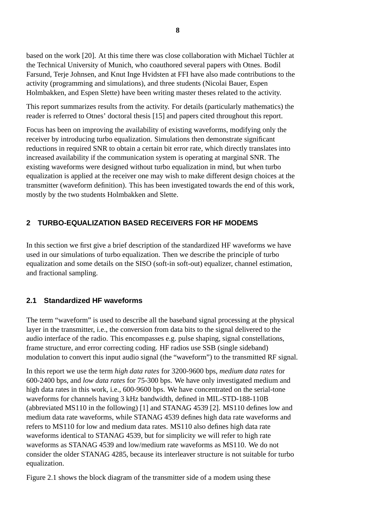based on the work [20]. At this time there was close collaboration with Michael Tüchler at the Technical University of Munich, who coauthored several papers with Otnes. Bodil Farsund, Terje Johnsen, and Knut Inge Hvidsten at FFI have also made contributions to the activity (programming and simulations), and three students (Nicolai Bauer, Espen Holmbakken, and Espen Slette) have been writing master theses related to the activity.

This report summarizes results from the activity. For details (particularly mathematics) the reader is referred to Otnes' doctoral thesis [15] and papers cited throughout this report.

Focus has been on improving the availability of existing waveforms, modifying only the receiver by introducing turbo equalization. Simulations then demonstrate significant reductions in required SNR to obtain a certain bit error rate, which directly translates into increased availability if the communication system is operating at marginal SNR. The existing waveforms were designed without turbo equalization in mind, but when turbo equalization is applied at the receiver one may wish to make different design choices at the transmitter (waveform definition). This has been investigated towards the end of this work, mostly by the two students Holmbakken and Slette.

# **2 TURBO-EQUALIZATION BASED RECEIVERS FOR HF MODEMS**

In this section we first give a brief description of the standardized HF waveforms we have used in our simulations of turbo equalization. Then we describe the principle of turbo equalization and some details on the SISO (soft-in soft-out) equalizer, channel estimation, and fractional sampling.

# **2.1 Standardized HF waveforms**

The term "waveform" is used to describe all the baseband signal processing at the physical layer in the transmitter, i.e., the conversion from data bits to the signal delivered to the audio interface of the radio. This encompasses e.g. pulse shaping, signal constellations, frame structure, and error correcting coding. HF radios use SSB (single sideband) modulation to convert this input audio signal (the "waveform") to the transmitted RF signal.

In this report we use the term *high data rates* for 3200-9600 bps, *medium data rates* for 600-2400 bps, and *low data rates* for 75-300 bps. We have only investigated medium and high data rates in this work, i.e., 600-9600 bps. We have concentrated on the serial-tone waveforms for channels having 3 kHz bandwidth, defined in MIL-STD-188-110B (abbreviated MS110 in the following) [1] and STANAG 4539 [2]. MS110 defines low and medium data rate waveforms, while STANAG 4539 defines high data rate waveforms and refers to MS110 for low and medium data rates. MS110 also defines high data rate waveforms identical to STANAG 4539, but for simplicity we will refer to high rate waveforms as STANAG 4539 and low/medium rate waveforms as MS110. We do not consider the older STANAG 4285, because its interleaver structure is not suitable for turbo equalization.

Figure 2.1 shows the block diagram of the transmitter side of a modem using these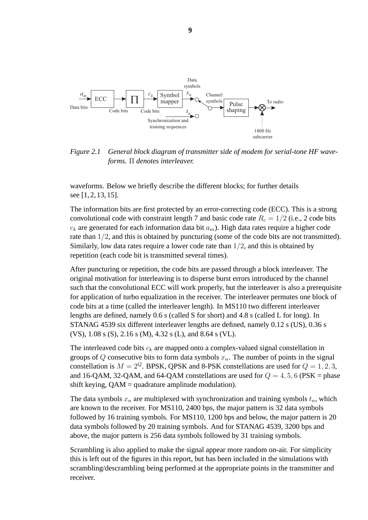

*Figure 2.1 General block diagram of transmitter side of modem for serial-tone HF waveforms.* Π *denotes interleaver.*

waveforms. Below we briefly describe the different blocks; for further details see [1, 2, 13, 15].

The information bits are first protected by an error-correcting code (ECC). This is a strong convolutional code with constraint length 7 and basic code rate  $R_c = 1/2$  (i.e., 2 code bits  $c_k$  are generated for each information data bit  $a_m$ ). High data rates require a higher code rate than  $1/2$ , and this is obtained by puncturing (some of the code bits are not transmitted). Similarly, low data rates require a lower code rate than 1/2, and this is obtained by repetition (each code bit is transmitted several times).

After puncturing or repetition, the code bits are passed through a block interleaver. The original motivation for interleaving is to disperse burst errors introduced by the channel such that the convolutional ECC will work properly, but the interleaver is also a prerequisite for application of turbo equalization in the receiver. The interleaver permutes one block of code bits at a time (called the interleaver length). In MS110 two different interleaver lengths are defined, namely 0.6 s (called S for short) and 4.8 s (called L for long). In STANAG 4539 six different interleaver lengths are defined, namely 0.12 s (US), 0.36 s (VS), 1.08 s (S), 2.16 s (M), 4.32 s (L), and 8.64 s (VL).

The interleaved code bits c*<sup>k</sup>* are mapped onto a complex-valued signal constellation in groups of  $Q$  consecutive bits to form data symbols  $x_n$ . The number of points in the signal constellation is  $M = 2^Q$ . BPSK, QPSK and 8-PSK constellations are used for  $Q = 1, 2, 3$ , and 16-QAM, 32-QAM, and 64-QAM constellations are used for  $Q = 4, 5, 6$  (PSK = phase shift keying,  $QAM =$  quadrature amplitude modulation).

The data symbols  $x_n$  are multiplexed with synchronization and training symbols  $t_n$ , which are known to the receiver. For MS110, 2400 bps, the major pattern is 32 data symbols followed by 16 training symbols. For MS110, 1200 bps and below, the major pattern is 20 data symbols followed by 20 training symbols. And for STANAG 4539, 3200 bps and above, the major pattern is 256 data symbols followed by 31 training symbols.

Scrambling is also applied to make the signal appear more random on-air. For simplicity this is left out of the figures in this report, but has been included in the simulations with scrambling/descrambling being performed at the appropriate points in the transmitter and receiver.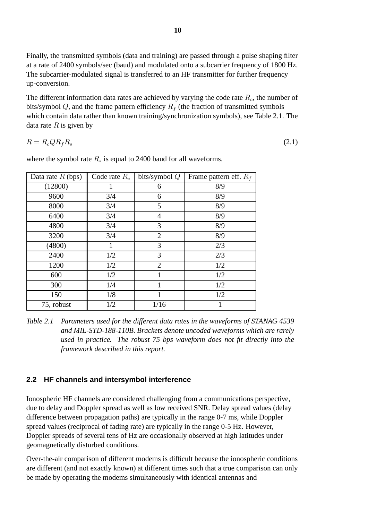Finally, the transmitted symbols (data and training) are passed through a pulse shaping filter at a rate of 2400 symbols/sec (baud) and modulated onto a subcarrier frequency of 1800 Hz. The subcarrier-modulated signal is transferred to an HF transmitter for further frequency up-conversion.

The different information data rates are achieved by varying the code rate R*c*, the number of bits/symbol Q, and the frame pattern efficiency R*<sup>f</sup>* (the fraction of transmitted symbols which contain data rather than known training/synchronization symbols), see Table 2.1. The data rate  $R$  is given by

$$
R = R_c Q R_f R_s \tag{2.1}
$$

| Data rate $R$ (bps) | Code rate $R_c$ | bits/symbol $Q$ | Frame pattern eff. $R_f$ |
|---------------------|-----------------|-----------------|--------------------------|
| (12800)             |                 | 6               | 8/9                      |
| 9600                | 3/4             | 6               | 8/9                      |
| 8000                | 3/4             | 5               | 8/9                      |
| 6400                | 3/4             | 4               | 8/9                      |
| 4800                | 3/4             | 3               | 8/9                      |
| 3200                | 3/4             | $\overline{2}$  | 8/9                      |
| (4800)              | 1               | 3               | 2/3                      |
| 2400                | 1/2             | 3               | 2/3                      |
| 1200                | 1/2             | $\overline{2}$  | 1/2                      |
| 600                 | 1/2             |                 | 1/2                      |
| 300                 | 1/4             |                 | 1/2                      |
| 150                 | 1/8             | 1               | 1/2                      |
| 75, robust          | 1/2             | 1/16            |                          |

where the symbol rate  $R_s$  is equal to 2400 baud for all waveforms.

#### **2.2 HF channels and intersymbol interference**

Ionospheric HF channels are considered challenging from a communications perspective, due to delay and Doppler spread as well as low received SNR. Delay spread values (delay difference between propagation paths) are typically in the range 0-7 ms, while Doppler spread values (reciprocal of fading rate) are typically in the range 0-5 Hz. However, Doppler spreads of several tens of Hz are occasionally observed at high latitudes under geomagnetically disturbed conditions.

Over-the-air comparison of different modems is difficult because the ionospheric conditions are different (and not exactly known) at different times such that a true comparison can only be made by operating the modems simultaneously with identical antennas and

*Table 2.1 Parameters used for the different data rates in the waveforms of STANAG 4539 and MIL-STD-188-110B. Brackets denote uncoded waveforms which are rarely used in practice. The robust 75 bps waveform does not fit directly into the framework described in this report.*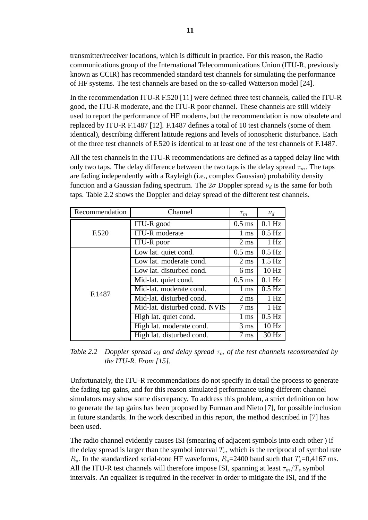transmitter/receiver locations, which is difficult in practice. For this reason, the Radio communications group of the International Telecommunications Union (ITU-R, previously known as CCIR) has recommended standard test channels for simulating the performance of HF systems. The test channels are based on the so-called Watterson model [24].

In the recommendation ITU-R F.520 [11] were defined three test channels, called the ITU-R good, the ITU-R moderate, and the ITU-R poor channel. These channels are still widely used to report the performance of HF modems, but the recommendation is now obsolete and replaced by ITU-R F.1487 [12]. F.1487 defines a total of 10 test channels (some of them identical), describing different latitude regions and levels of ionospheric disturbance. Each of the three test channels of F.520 is identical to at least one of the test channels of F.1487.

All the test channels in the ITU-R recommendations are defined as a tapped delay line with only two taps. The delay difference between the two taps is the delay spread  $\tau_m$ . The taps are fading independently with a Rayleigh (i.e., complex Gaussian) probability density function and a Gaussian fading spectrum. The  $2\sigma$  Doppler spread  $\nu_d$  is the same for both taps. Table 2.2 shows the Doppler and delay spread of the different test channels.

| Recommendation | Channel                       | $\tau_m$       | $\nu_d$          |
|----------------|-------------------------------|----------------|------------------|
|                | ITU-R good                    | $0.5$ ms       | $0.1$ Hz         |
| F.520          | <b>ITU-R</b> moderate         | $1 \text{ ms}$ | $0.5$ Hz         |
|                | <b>ITU-R</b> poor             | $2 \text{ ms}$ | 1 Hz             |
|                | Low lat. quiet cond.          | $0.5$ ms       | $0.5$ Hz         |
|                | Low lat. moderate cond.       | $2 \text{ ms}$ | $1.5 \text{ Hz}$ |
|                | Low lat. disturbed cond.      | $6 \text{ ms}$ | 10 <sub>Hz</sub> |
|                | Mid-lat. quiet cond.          | $0.5$ ms       | $0.1$ Hz         |
| F.1487         | Mid-lat. moderate cond.       | 1 ms           | $0.5$ Hz         |
|                | Mid-lat. disturbed cond.      | $2 \text{ ms}$ | 1 Hz             |
|                | Mid-lat. disturbed cond. NVIS | $7 \text{ ms}$ | 1 Hz             |
|                | High lat. quiet cond.         | 1 ms           | $0.5$ Hz         |
|                | High lat. moderate cond.      | $3 \text{ ms}$ | 10 Hz            |
|                | High lat. disturbed cond.     | $7 \text{ ms}$ | 30 Hz            |

*Table 2.2 Doppler spread* ν*<sup>d</sup> and delay spread* τ*<sup>m</sup> of the test channels recommended by the ITU-R. From [15].*

Unfortunately, the ITU-R recommendations do not specify in detail the process to generate the fading tap gains, and for this reason simulated performance using different channel simulators may show some discrepancy. To address this problem, a strict definition on how to generate the tap gains has been proposed by Furman and Nieto [7], for possible inclusion in future standards. In the work described in this report, the method described in [7] has been used.

The radio channel evidently causes ISI (smearing of adjacent symbols into each other ) if the delay spread is larger than the symbol interval  $T_s$ , which is the reciprocal of symbol rate  $R_s$ . In the standardized serial-tone HF waveforms,  $R_s$ =2400 baud such that  $T_s$ =0,4167 ms. All the ITU-R test channels will therefore impose ISI, spanning at least  $\tau_m/T_s$  symbol intervals. An equalizer is required in the receiver in order to mitigate the ISI, and if the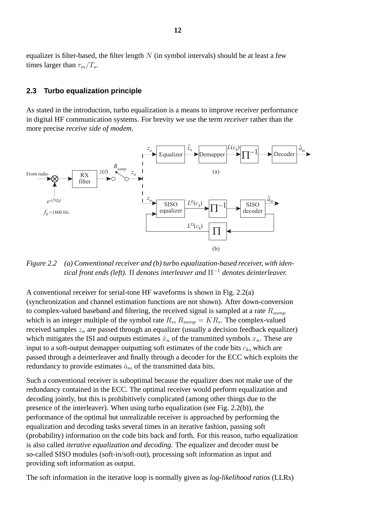equalizer is filter-based, the filter length  $N$  (in symbol intervals) should be at least a few times larger than  $\tau_m/T_s$ .

#### **2.3 Turbo equalization principle**

As stated in the introduction, turbo equalization is a means to improve receiver performance in digital HF communication systems. For brevity we use the term *receiver* rather than the more precise *receive side of modem*.



*Figure 2.2 (a) Conventional receiver and (b) turbo equalization-based receiver, with identical front ends (left).* Π *denotes interleaver and* Π*−*<sup>1</sup> *denotes deinterleaver.*

A conventional receiver for serial-tone HF waveforms is shown in Fig. 2.2(a) (synchronization and channel estimation functions are not shown). After down-conversion to complex-valued baseband and filtering, the received signal is sampled at a rate R*samp* which is an integer multiple of the symbol rate  $R_s$ ,  $R_{\text{samp}} = KR_s$ . The complex-valued received samples z*<sup>n</sup>* are passed through an equalizer (usually a decision feedback equalizer) which mitigates the ISI and outputs estimates  $\hat{x}_n$  of the transmitted symbols  $x_n$ . These are input to a soft-output demapper outputting soft estimates of the code bits  $c_k$ , which are passed through a deinterleaver and finally through a decoder for the ECC which exploits the redundancy to provide estimates  $\hat{a}_m$  of the transmitted data bits.

Such a conventional receiver is suboptimal because the equalizer does not make use of the redundancy contained in the ECC. The optimal receiver would perform equalization and decoding jointly, but this is prohibitively complicated (among other things due to the presence of the interleaver). When using turbo equalization (see Fig. 2.2(b)), the performance of the optimal but unrealizable receiver is approached by performing the equalization and decoding tasks several times in an iterative fashion, passing soft (probability) information on the code bits back and forth. For this reason, turbo equalization is also called *iterative equalization and decoding*. The equalizer and decoder must be so-called SISO modules (soft-in/soft-out), processing soft information as input and providing soft information as output.

The soft information in the iterative loop is normally given as *log-likelihood ratios* (LLRs)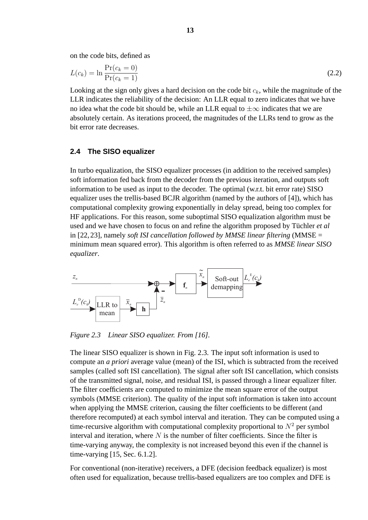on the code bits, defined as

$$
L(c_k) = \ln \frac{\Pr(c_k = 0)}{\Pr(c_k = 1)}
$$
\n
$$
(2.2)
$$

Looking at the sign only gives a hard decision on the code bit  $c_k$ , while the magnitude of the LLR indicates the reliability of the decision: An LLR equal to zero indicates that we have no idea what the code bit should be, while an LLR equal to  $\pm\infty$  indicates that we are absolutely certain. As iterations proceed, the magnitudes of the LLRs tend to grow as the bit error rate decreases.

#### **2.4 The SISO equalizer**

In turbo equalization, the SISO equalizer processes (in addition to the received samples) soft information fed back from the decoder from the previous iteration, and outputs soft information to be used as input to the decoder. The optimal (w.r.t. bit error rate) SISO equalizer uses the trellis-based BCJR algorithm (named by the authors of [4]), which has computational complexity growing exponentially in delay spread, being too complex for HF applications. For this reason, some suboptimal SISO equalization algorithm must be used and we have chosen to focus on and refine the algorithm proposed by Tüchler et al in [22, 23], namely *soft ISI cancellation followed by MMSE linear filtering* (MMSE = minimum mean squared error). This algorithm is often referred to as *MMSE linear SISO equalizer*.



*Figure 2.3 Linear SISO equalizer. From [16].*

The linear SISO equalizer is shown in Fig. 2.3. The input soft information is used to compute an *a priori* average value (mean) of the ISI, which is subtracted from the received samples (called soft ISI cancellation). The signal after soft ISI cancellation, which consists of the transmitted signal, noise, and residual ISI, is passed through a linear equalizer filter. The filter coefficients are computed to minimize the mean square error of the output symbols (MMSE criterion). The quality of the input soft information is taken into account when applying the MMSE criterion, causing the filter coefficients to be different (and therefore recomputed) at each symbol interval and iteration. They can be computed using a time-recursive algorithm with computational complexity proportional to  $N^2$  per symbol interval and iteration, where  $N$  is the number of filter coefficients. Since the filter is time-varying anyway, the complexity is not increased beyond this even if the channel is time-varying [15, Sec. 6.1.2].

For conventional (non-iterative) receivers, a DFE (decision feedback equalizer) is most often used for equalization, because trellis-based equalizers are too complex and DFE is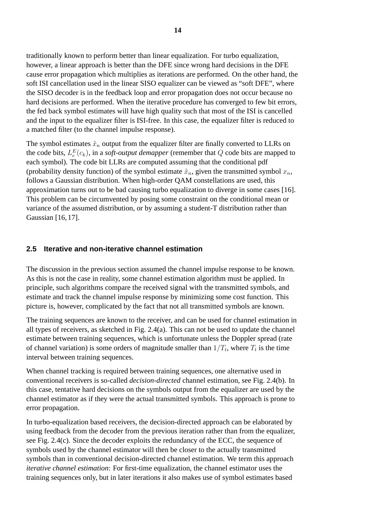traditionally known to perform better than linear equalization. For turbo equalization, however, a linear approach is better than the DFE since wrong hard decisions in the DFE cause error propagation which multiplies as iterations are performed. On the other hand, the soft ISI cancellation used in the linear SISO equalizer can be viewed as "soft DFE", where the SISO decoder is in the feedback loop and error propagation does not occur because no hard decisions are performed. When the iterative procedure has converged to few bit errors, the fed back symbol estimates will have high quality such that most of the ISI is cancelled and the input to the equalizer filter is ISI-free. In this case, the equalizer filter is reduced to a matched filter (to the channel impulse response).

The symbol estimates  $\tilde{x}_n$  output from the equalizer filter are finally converted to LLRs on the code bits,  $L_e^E(c_k)$ , in a *soft-output demapper* (remember that Q code bits are mapped to each symbol). The code bit LLRs are computed assuming that the conditional pdf (probability density function) of the symbol estimate  $\tilde{x}_n$ , given the transmitted symbol  $x_n$ , follows a Gaussian distribution. When high-order QAM constellations are used, this approximation turns out to be bad causing turbo equalization to diverge in some cases [16]. This problem can be circumvented by posing some constraint on the conditional mean or variance of the assumed distribution, or by assuming a student-T distribution rather than Gaussian [16, 17].

#### **2.5 Iterative and non-iterative channel estimation**

The discussion in the previous section assumed the channel impulse response to be known. As this is not the case in reality, some channel estimation algorithm must be applied. In principle, such algorithms compare the received signal with the transmitted symbols, and estimate and track the channel impulse response by minimizing some cost function. This picture is, however, complicated by the fact that not all transmitted symbols are known.

The training sequences are known to the receiver, and can be used for channel estimation in all types of receivers, as sketched in Fig. 2.4(a). This can not be used to update the channel estimate between training sequences, which is unfortunate unless the Doppler spread (rate of channel variation) is some orders of magnitude smaller than  $1/T_t$ , where  $T_t$  is the time interval between training sequences.

When channel tracking is required between training sequences, one alternative used in conventional receivers is so-called *decision-directed* channel estimation, see Fig. 2.4(b). In this case, tentative hard decisions on the symbols output from the equalizer are used by the channel estimator as if they were the actual transmitted symbols. This approach is prone to error propagation.

In turbo-equalization based receivers, the decision-directed approach can be elaborated by using feedback from the decoder from the previous iteration rather than from the equalizer, see Fig. 2.4(c). Since the decoder exploits the redundancy of the ECC, the sequence of symbols used by the channel estimator will then be closer to the actually transmitted symbols than in conventional decision-directed channel estimation. We term this approach *iterative channel estimation*: For first-time equalization, the channel estimator uses the training sequences only, but in later iterations it also makes use of symbol estimates based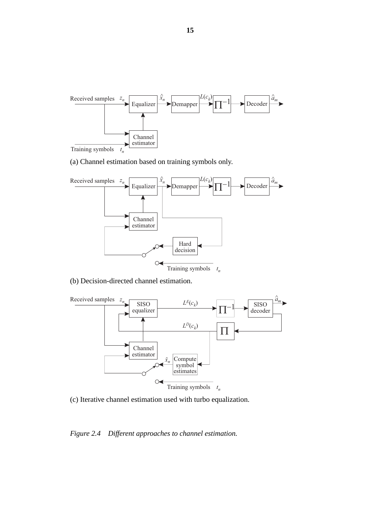

(a) Channel estimation based on training symbols only.



(b) Decision-directed channel estimation.



(c) Iterative channel estimation used with turbo equalization.

*Figure 2.4 Different approaches to channel estimation.*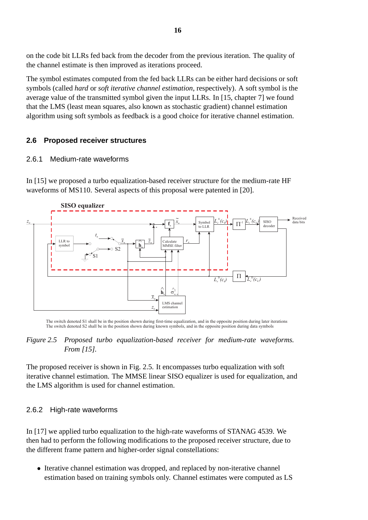on the code bit LLRs fed back from the decoder from the previous iteration. The quality of the channel estimate is then improved as iterations proceed.

The symbol estimates computed from the fed back LLRs can be either hard decisions or soft symbols (called *hard* or *soft iterative channel estimation*, respectively). A soft symbol is the average value of the transmitted symbol given the input LLRs. In [15, chapter 7] we found that the LMS (least mean squares, also known as stochastic gradient) channel estimation algorithm using soft symbols as feedback is a good choice for iterative channel estimation.

## **2.6 Proposed receiver structures**

#### 2.6.1 Medium-rate waveforms

In [15] we proposed a turbo equalization-based receiver structure for the medium-rate HF waveforms of MS110. Several aspects of this proposal were patented in [20].



The switch denoted S1 shall be in the position shown during first-time equalization, and in the opposite position during later iterations The switch denoted S2 shall be in the position shown during known symbols, and in the opposite position during data symbols

#### *Figure 2.5 Proposed turbo equalization-based receiver for medium-rate waveforms. From [15].*

The proposed receiver is shown in Fig. 2.5. It encompasses turbo equalization with soft iterative channel estimation. The MMSE linear SISO equalizer is used for equalization, and the LMS algorithm is used for channel estimation.

#### 2.6.2 High-rate waveforms

In [17] we applied turbo equalization to the high-rate waveforms of STANAG 4539. We then had to perform the following modifications to the proposed receiver structure, due to the different frame pattern and higher-order signal constellations:

• Iterative channel estimation was dropped, and replaced by non-iterative channel estimation based on training symbols only. Channel estimates were computed as LS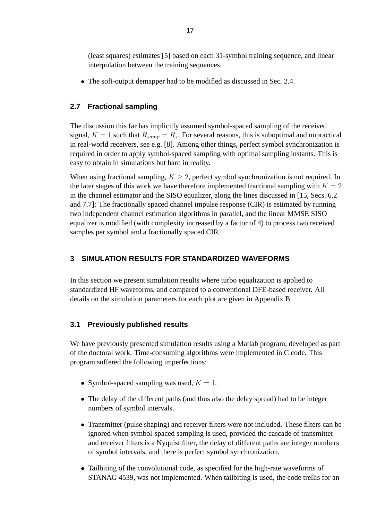(least squares) estimates [5] based on each 31-symbol training sequence, and linear interpolation between the training sequences.

• The soft-output demapper had to be modified as discussed in Sec. 2.4.

# **2.7 Fractional sampling**

The discussion this far has implicitly assumed symbol-spaced sampling of the received signal,  $K = 1$  such that  $R_{\text{samp}} = R_s$ . For several reasons, this is suboptimal and unpractical in real-world receivers, see e.g. [8]. Among other things, perfect symbol synchronization is required in order to apply symbol-spaced sampling with optimal sampling instants. This is easy to obtain in simulations but hard in reality.

When using fractional sampling,  $K \geq 2$ , perfect symbol synchronization is not required. In the later stages of this work we have therefore implemented fractional sampling with  $K = 2$ in the channel estimator and the SISO equalizer, along the lines discussed in [15, Secs. 6.2 and 7.7]: The fractionally spaced channel impulse response (CIR) is estimated by running two independent channel estimation algorithms in parallel, and the linear MMSE SISO equalizer is modified (with complexity increased by a factor of 4) to process two received samples per symbol and a fractionally spaced CIR.

## **3 SIMULATION RESULTS FOR STANDARDIZED WAVEFORMS**

In this section we present simulation results where turbo equalization is applied to standardized HF waveforms, and compared to a conventional DFE-based receiver. All details on the simulation parameters for each plot are given in Appendix B.

#### **3.1 Previously published results**

We have previously presented simulation results using a Matlab program, developed as part of the doctoral work. Time-consuming algorithms were implemented in C code. This program suffered the following imperfections:

- Symbol-spaced sampling was used,  $K = 1$ .
- The delay of the different paths (and thus also the delay spread) had to be integer numbers of symbol intervals.
- Transmitter (pulse shaping) and receiver filters were not included. These filters can be ignored when symbol-spaced sampling is used, provided the cascade of transmitter and receiver filters is a Nyquist filter, the delay of different paths are integer numbers of symbol intervals, and there is perfect symbol synchronization.
- Tailbiting of the convolutional code, as specified for the high-rate waveforms of STANAG 4539, was not implemented. When tailbiting is used, the code trellis for an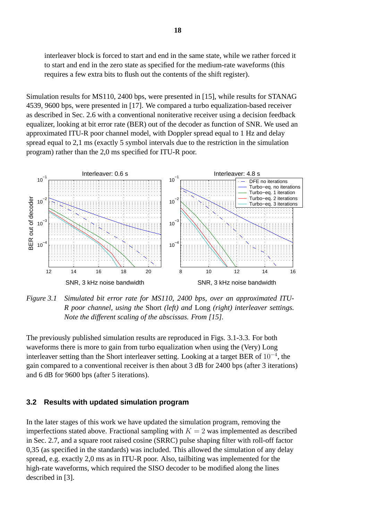interleaver block is forced to start and end in the same state, while we rather forced it to start and end in the zero state as specified for the medium-rate waveforms (this requires a few extra bits to flush out the contents of the shift register).

Simulation results for MS110, 2400 bps, were presented in [15], while results for STANAG 4539, 9600 bps, were presented in [17]. We compared a turbo equalization-based receiver as described in Sec. 2.6 with a conventional noniterative receiver using a decision feedback equalizer, looking at bit error rate (BER) out of the decoder as function of SNR. We used an approximated ITU-R poor channel model, with Doppler spread equal to 1 Hz and delay spread equal to 2,1 ms (exactly 5 symbol intervals due to the restriction in the simulation program) rather than the 2,0 ms specified for ITU-R poor.



*Figure 3.1 Simulated bit error rate for MS110, 2400 bps, over an approximated ITU-R poor channel, using the* Short *(left) and* Long *(right) interleaver settings. Note the different scaling of the abscissas. From [15].*

The previously published simulation results are reproduced in Figs. 3.1-3.3. For both waveforms there is more to gain from turbo equalization when using the (Very) Long interleaver setting than the Short interleaver setting. Looking at a target BER of 10*−*<sup>4</sup>, the gain compared to a conventional receiver is then about 3 dB for 2400 bps (after 3 iterations) and 6 dB for 9600 bps (after 5 iterations).

#### **3.2 Results with updated simulation program**

In the later stages of this work we have updated the simulation program, removing the imperfections stated above. Fractional sampling with  $K = 2$  was implemented as described in Sec. 2.7, and a square root raised cosine (SRRC) pulse shaping filter with roll-off factor 0,35 (as specified in the standards) was included. This allowed the simulation of any delay spread, e.g. exactly 2,0 ms as in ITU-R poor. Also, tailbiting was implemented for the high-rate waveforms, which required the SISO decoder to be modified along the lines described in [3].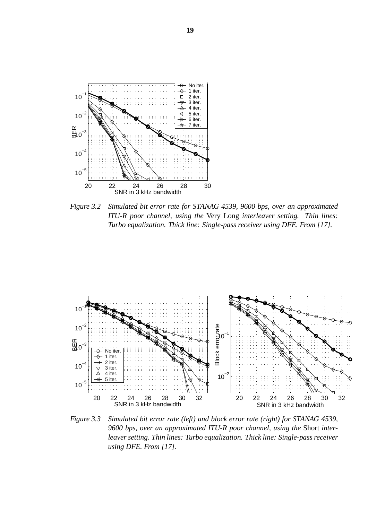

*Figure 3.2 Simulated bit error rate for STANAG 4539, 9600 bps, over an approximated ITU-R poor channel, using the* Very Long *interleaver setting. Thin lines: Turbo equalization. Thick line: Single-pass receiver using DFE. From [17].*



*Figure 3.3 Simulated bit error rate (left) and block error rate (right) for STANAG 4539, 9600 bps, over an approximated ITU-R poor channel, using the* Short *interleaver setting. Thin lines: Turbo equalization. Thick line: Single-pass receiver using DFE. From [17].*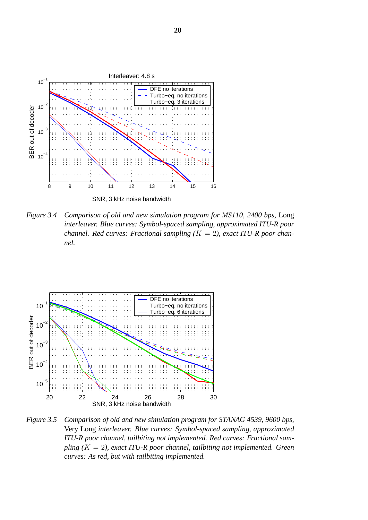

*Figure 3.4 Comparison of old and new simulation program for MS110, 2400 bps,* Long *interleaver. Blue curves: Symbol-spaced sampling, approximated ITU-R poor channel. Red curves: Fractional sampling (*K = 2*), exact ITU-R poor channel.*



*Figure 3.5 Comparison of old and new simulation program for STANAG 4539, 9600 bps,* Very Long *interleaver. Blue curves: Symbol-spaced sampling, approximated ITU-R poor channel, tailbiting not implemented. Red curves: Fractional sampling (*K = 2*), exact ITU-R poor channel, tailbiting not implemented. Green curves: As red, but with tailbiting implemented.*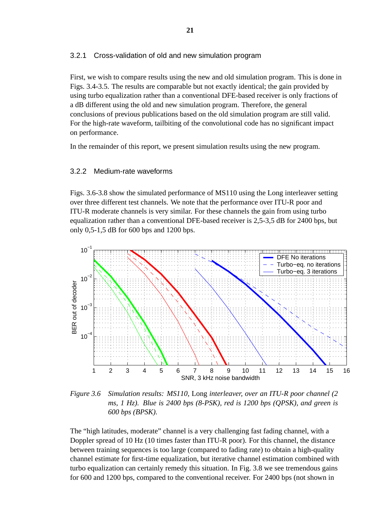#### 3.2.1 Cross-validation of old and new simulation program

First, we wish to compare results using the new and old simulation program. This is done in Figs. 3.4-3.5. The results are comparable but not exactly identical; the gain provided by using turbo equalization rather than a conventional DFE-based receiver is only fractions of a dB different using the old and new simulation program. Therefore, the general conclusions of previous publications based on the old simulation program are still valid. For the high-rate waveform, tailbiting of the convolutional code has no significant impact on performance.

In the remainder of this report, we present simulation results using the new program.

#### 3.2.2 Medium-rate waveforms

Figs. 3.6-3.8 show the simulated performance of MS110 using the Long interleaver setting over three different test channels. We note that the performance over ITU-R poor and ITU-R moderate channels is very similar. For these channels the gain from using turbo equalization rather than a conventional DFE-based receiver is 2,5-3,5 dB for 2400 bps, but only 0,5-1,5 dB for 600 bps and 1200 bps.



*Figure 3.6 Simulation results: MS110,* Long *interleaver, over an ITU-R poor channel (2 ms, 1 Hz). Blue is 2400 bps (8-PSK), red is 1200 bps (QPSK), and green is 600 bps (BPSK).*

The "high latitudes, moderate" channel is a very challenging fast fading channel, with a Doppler spread of 10 Hz (10 times faster than ITU-R poor). For this channel, the distance between training sequences is too large (compared to fading rate) to obtain a high-quality channel estimate for first-time equalization, but iterative channel estimation combined with turbo equalization can certainly remedy this situation. In Fig. 3.8 we see tremendous gains for 600 and 1200 bps, compared to the conventional receiver. For 2400 bps (not shown in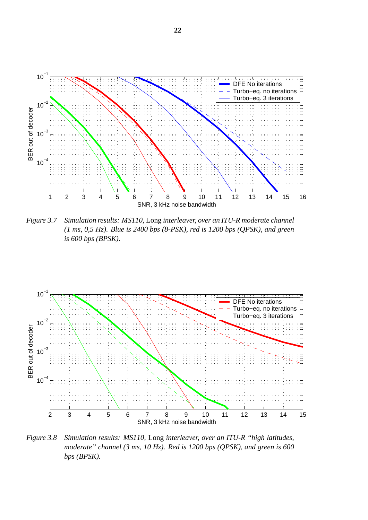

*Figure 3.7 Simulation results: MS110,* Long *interleaver, over an ITU-R moderate channel (1 ms, 0,5 Hz). Blue is 2400 bps (8-PSK), red is 1200 bps (QPSK), and green is 600 bps (BPSK).*



*Figure 3.8 Simulation results: MS110,* Long *interleaver, over an ITU-R "high latitudes, moderate" channel (3 ms, 10 Hz). Red is 1200 bps (QPSK), and green is 600 bps (BPSK).*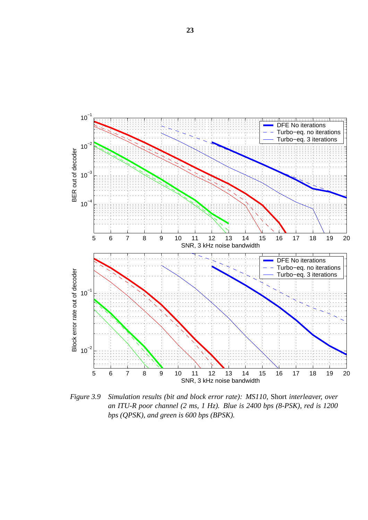

*Figure 3.9 Simulation results (bit and block error rate): MS110,* Short *interleaver, over an ITU-R poor channel (2 ms, 1 Hz). Blue is 2400 bps (8-PSK), red is 1200 bps (QPSK), and green is 600 bps (BPSK).*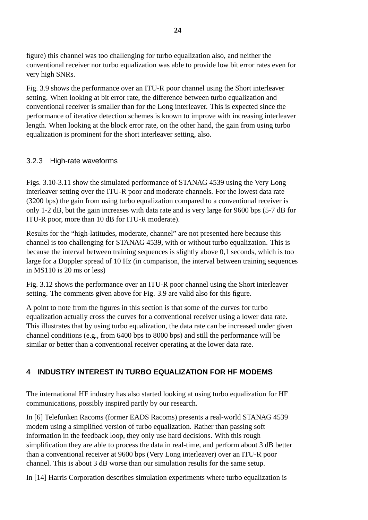figure) this channel was too challenging for turbo equalization also, and neither the conventional receiver nor turbo equalization was able to provide low bit error rates even for very high SNRs.

Fig. 3.9 shows the performance over an ITU-R poor channel using the Short interleaver setting. When looking at bit error rate, the difference between turbo equalization and conventional receiver is smaller than for the Long interleaver. This is expected since the performance of iterative detection schemes is known to improve with increasing interleaver length. When looking at the block error rate, on the other hand, the gain from using turbo equalization is prominent for the short interleaver setting, also.

## 3.2.3 High-rate waveforms

Figs. 3.10-3.11 show the simulated performance of STANAG 4539 using the Very Long interleaver setting over the ITU-R poor and moderate channels. For the lowest data rate (3200 bps) the gain from using turbo equalization compared to a conventional receiver is only 1-2 dB, but the gain increases with data rate and is very large for 9600 bps (5-7 dB for ITU-R poor, more than 10 dB for ITU-R moderate).

Results for the "high-latitudes, moderate, channel" are not presented here because this channel is too challenging for STANAG 4539, with or without turbo equalization. This is because the interval between training sequences is slightly above 0,1 seconds, which is too large for a Doppler spread of 10 Hz (in comparison, the interval between training sequences in MS110 is 20 ms or less)

Fig. 3.12 shows the performance over an ITU-R poor channel using the Short interleaver setting. The comments given above for Fig. 3.9 are valid also for this figure.

A point to note from the figures in this section is that some of the curves for turbo equalization actually cross the curves for a conventional receiver using a lower data rate. This illustrates that by using turbo equalization, the data rate can be increased under given channel conditions (e.g., from 6400 bps to 8000 bps) and still the performance will be similar or better than a conventional receiver operating at the lower data rate.

# **4 INDUSTRY INTEREST IN TURBO EQUALIZATION FOR HF MODEMS**

The international HF industry has also started looking at using turbo equalization for HF communications, possibly inspired partly by our research.

In [6] Telefunken Racoms (former EADS Racoms) presents a real-world STANAG 4539 modem using a simplified version of turbo equalization. Rather than passing soft information in the feedback loop, they only use hard decisions. With this rough simplification they are able to process the data in real-time, and perform about 3 dB better than a conventional receiver at 9600 bps (Very Long interleaver) over an ITU-R poor channel. This is about 3 dB worse than our simulation results for the same setup.

In [14] Harris Corporation describes simulation experiments where turbo equalization is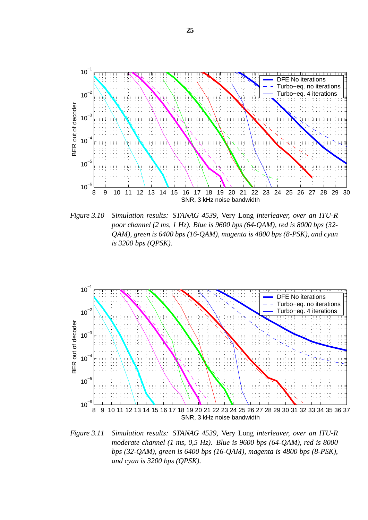

*Figure 3.10 Simulation results: STANAG 4539,* Very Long *interleaver, over an ITU-R poor channel (2 ms, 1 Hz). Blue is 9600 bps (64-QAM), red is 8000 bps (32- QAM), green is 6400 bps (16-QAM), magenta is 4800 bps (8-PSK), and cyan is 3200 bps (QPSK).*



*Figure 3.11 Simulation results: STANAG 4539,* Very Long *interleaver, over an ITU-R moderate channel (1 ms, 0,5 Hz). Blue is 9600 bps (64-QAM), red is 8000 bps (32-QAM), green is 6400 bps (16-QAM), magenta is 4800 bps (8-PSK), and cyan is 3200 bps (QPSK).*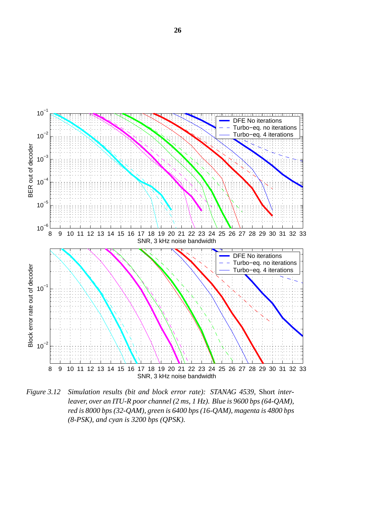

*Figure 3.12 Simulation results (bit and block error rate): STANAG 4539,* Short *interleaver, over an ITU-R poor channel (2 ms, 1 Hz). Blue is 9600 bps (64-QAM), red is 8000 bps (32-QAM), green is 6400 bps (16-QAM), magenta is 4800 bps (8-PSK), and cyan is 3200 bps (QPSK).*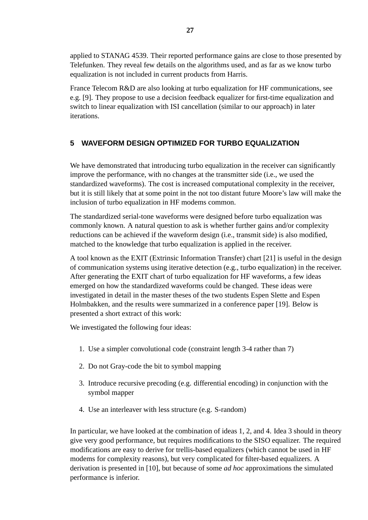applied to STANAG 4539. Their reported performance gains are close to those presented by Telefunken. They reveal few details on the algorithms used, and as far as we know turbo equalization is not included in current products from Harris.

France Telecom R&D are also looking at turbo equalization for HF communications, see e.g. [9]. They propose to use a decision feedback equalizer for first-time equalization and switch to linear equalization with ISI cancellation (similar to our approach) in later iterations.

# **5 WAVEFORM DESIGN OPTIMIZED FOR TURBO EQUALIZATION**

We have demonstrated that introducing turbo equalization in the receiver can significantly improve the performance, with no changes at the transmitter side (i.e., we used the standardized waveforms). The cost is increased computational complexity in the receiver, but it is still likely that at some point in the not too distant future Moore's law will make the inclusion of turbo equalization in HF modems common.

The standardized serial-tone waveforms were designed before turbo equalization was commonly known. A natural question to ask is whether further gains and/or complexity reductions can be achieved if the waveform design (i.e., transmit side) is also modified, matched to the knowledge that turbo equalization is applied in the receiver.

A tool known as the EXIT (Extrinsic Information Transfer) chart [21] is useful in the design of communication systems using iterative detection (e.g., turbo equalization) in the receiver. After generating the EXIT chart of turbo equalization for HF waveforms, a few ideas emerged on how the standardized waveforms could be changed. These ideas were investigated in detail in the master theses of the two students Espen Slette and Espen Holmbakken, and the results were summarized in a conference paper [19]. Below is presented a short extract of this work:

We investigated the following four ideas:

- 1. Use a simpler convolutional code (constraint length 3-4 rather than 7)
- 2. Do not Gray-code the bit to symbol mapping
- 3. Introduce recursive precoding (e.g. differential encoding) in conjunction with the symbol mapper
- 4. Use an interleaver with less structure (e.g. S-random)

In particular, we have looked at the combination of ideas 1, 2, and 4. Idea 3 should in theory give very good performance, but requires modifications to the SISO equalizer. The required modifications are easy to derive for trellis-based equalizers (which cannot be used in HF modems for complexity reasons), but very complicated for filter-based equalizers. A derivation is presented in [10], but because of some *ad hoc* approximations the simulated performance is inferior.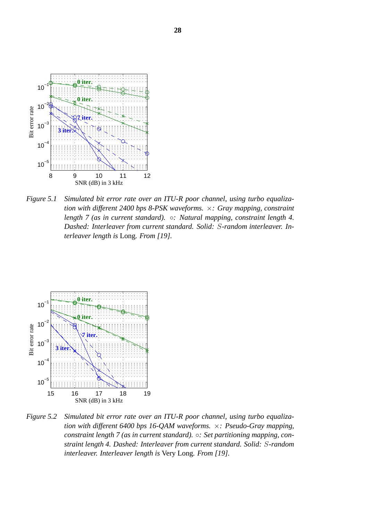

*Figure 5.1 Simulated bit error rate over an ITU-R poor channel, using turbo equalization with different 2400 bps 8-PSK waveforms.* ×*: Gray mapping, constraint length 7 (as in current standard).* ◦*: Natural mapping, constraint length 4. Dashed: Interleaver from current standard. Solid:* S*-random interleaver. Interleaver length is* Long*. From [19].*



*Figure 5.2 Simulated bit error rate over an ITU-R poor channel, using turbo equalization with different 6400 bps 16-QAM waveforms.* ×*: Pseudo-Gray mapping, constraint length 7 (as in current standard).* ◦*: Set partitioning mapping, constraint length 4. Dashed: Interleaver from current standard. Solid:* S*-random interleaver. Interleaver length is* Very Long*. From [19].*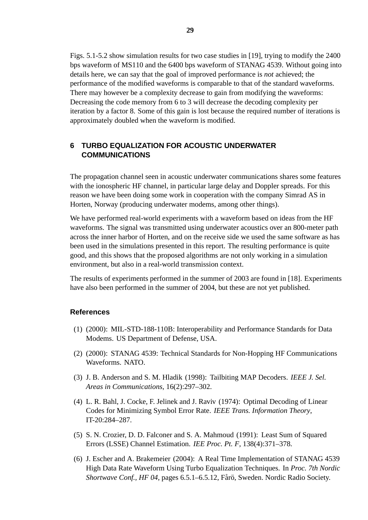Figs. 5.1-5.2 show simulation results for two case studies in [19], trying to modify the 2400 bps waveform of MS110 and the 6400 bps waveform of STANAG 4539. Without going into details here, we can say that the goal of improved performance is *not* achieved; the performance of the modified waveforms is comparable to that of the standard waveforms. There may however be a complexity decrease to gain from modifying the waveforms: Decreasing the code memory from 6 to 3 will decrease the decoding complexity per iteration by a factor 8. Some of this gain is lost because the required number of iterations is approximately doubled when the waveform is modified.

# **6 TURBO EQUALIZATION FOR ACOUSTIC UNDERWATER COMMUNICATIONS**

The propagation channel seen in acoustic underwater communications shares some features with the ionospheric HF channel, in particular large delay and Doppler spreads. For this reason we have been doing some work in cooperation with the company Simrad AS in Horten, Norway (producing underwater modems, among other things).

We have performed real-world experiments with a waveform based on ideas from the HF waveforms. The signal was transmitted using underwater acoustics over an 800-meter path across the inner harbor of Horten, and on the receive side we used the same software as has been used in the simulations presented in this report. The resulting performance is quite good, and this shows that the proposed algorithms are not only working in a simulation environment, but also in a real-world transmission context.

The results of experiments performed in the summer of 2003 are found in [18]. Experiments have also been performed in the summer of 2004, but these are not yet published.

#### **References**

- (1) (2000): MIL-STD-188-110B: Interoperability and Performance Standards for Data Modems. US Department of Defense, USA.
- (2) (2000): STANAG 4539: Technical Standards for Non-Hopping HF Communications Waveforms. NATO.
- (3) J. B. Anderson and S. M. Hladik (1998): Tailbiting MAP Decoders. *IEEE J. Sel. Areas in Communications*, 16(2):297–302.
- (4) L. R. Bahl, J. Cocke, F. Jelinek and J. Raviv (1974): Optimal Decoding of Linear Codes for Minimizing Symbol Error Rate. *IEEE Trans. Information Theory*, IT-20:284–287.
- (5) S. N. Crozier, D. D. Falconer and S. A. Mahmoud (1991): Least Sum of Squared Errors (LSSE) Channel Estimation. *IEE Proc. Pt. F*, 138(4):371–378.
- (6) J. Escher and A. Brakemeier (2004): A Real Time Implementation of STANAG 4539 High Data Rate Waveform Using Turbo Equalization Techniques. In *Proc. 7th Nordic Shortwave Conf., HF 04, pages 6.5.1–6.5.12, Fårö, Sweden. Nordic Radio Society.*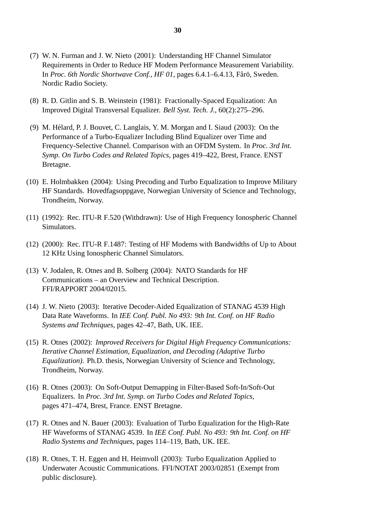- (7) W. N. Furman and J. W. Nieto (2001): Understanding HF Channel Simulator Requirements in Order to Reduce HF Modem Performance Measurement Variability. In *Proc. 6th Nordic Shortwave Conf., HF 01*, pages 6.4.1–6.4.13, Fårö, Sweden. Nordic Radio Society.
- (8) R. D. Gitlin and S. B. Weinstein (1981): Fractionally-Spaced Equalization: An Improved Digital Transversal Equalizer. *Bell Syst. Tech. J.*, 60(2):275–296.
- (9) M. Helard, P. J. Bouvet, C. Langlais, Y. M. Morgan and I. Siaud (2003): On the ´ Performance of a Turbo-Equalizer Including Blind Equalizer over Time and Frequency-Selective Channel. Comparison with an OFDM System. In *Proc. 3rd Int. Symp. On Turbo Codes and Related Topics*, pages 419–422, Brest, France. ENST Bretagne.
- (10) E. Holmbakken (2004): Using Precoding and Turbo Equalization to Improve Military HF Standards. Hovedfagsoppgave, Norwegian University of Science and Technology, Trondheim, Norway.
- (11) (1992): Rec. ITU-R F.520 (Withdrawn): Use of High Frequency Ionospheric Channel Simulators.
- (12) (2000): Rec. ITU-R F.1487: Testing of HF Modems with Bandwidths of Up to About 12 KHz Using Ionospheric Channel Simulators.
- (13) V. Jodalen, R. Otnes and B. Solberg (2004): NATO Standards for HF Communications – an Overview and Technical Description. FFI/RAPPORT 2004/02015.
- (14) J. W. Nieto (2003): Iterative Decoder-Aided Equalization of STANAG 4539 High Data Rate Waveforms. In *IEE Conf. Publ. No 493: 9th Int. Conf. on HF Radio Systems and Techniques*, pages 42–47, Bath, UK. IEE.
- (15) R. Otnes (2002): *Improved Receivers for Digital High Frequency Communications: Iterative Channel Estimation, Equalization, and Decoding (Adaptive Turbo Equalization)*. Ph.D. thesis, Norwegian University of Science and Technology, Trondheim, Norway.
- (16) R. Otnes (2003): On Soft-Output Demapping in Filter-Based Soft-In/Soft-Out Equalizers. In *Proc. 3rd Int. Symp. on Turbo Codes and Related Topics*, pages 471–474, Brest, France. ENST Bretagne.
- (17) R. Otnes and N. Bauer (2003): Evaluation of Turbo Equalization for the High-Rate HF Waveforms of STANAG 4539. In *IEE Conf. Publ. No 493: 9th Int. Conf. on HF Radio Systems and Techniques*, pages 114–119, Bath, UK. IEE.
- (18) R. Otnes, T. H. Eggen and H. Heimvoll (2003): Turbo Equalization Applied to Underwater Acoustic Communications. FFI/NOTAT 2003/02851 (Exempt from public disclosure).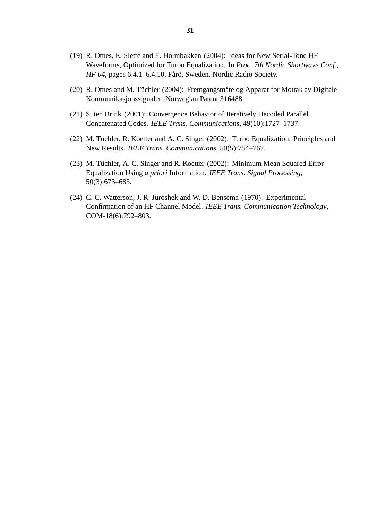- (19) R. Otnes, E. Slette and E. Holmbakken (2004): Ideas for New Serial-Tone HF Waveforms, Optimized for Turbo Equalization. In *Proc. 7th Nordic Shortwave Conf., HF 04*, pages 6.4.1–6.4.10, Fårö, Sweden. Nordic Radio Society.
- (20) R. Otnes and M. Tüchler (2004): Fremgangsmåte og Apparat for Mottak av Digitale Kommunikasjonssignaler. Norwegian Patent 316488.
- (21) S. ten Brink (2001): Convergence Behavior of Iteratively Decoded Parallel Concatenated Codes. *IEEE Trans. Communications*, 49(10):1727–1737.
- (22) M. Tüchler, R. Koetter and A. C. Singer (2002): Turbo Equalization: Principles and New Results. *IEEE Trans. Communications*, 50(5):754–767.
- (23) M. Tüchler, A. C. Singer and R. Koetter (2002): Minimum Mean Squared Error Equalization Using *a priori* Information. *IEEE Trans. Signal Processing*, 50(3):673–683.
- (24) C. C. Watterson, J. R. Juroshek and W. D. Bensema (1970): Experimental Confirmation of an HF Channel Model. *IEEE Trans. Communication Technology*, COM-18(6):792–803.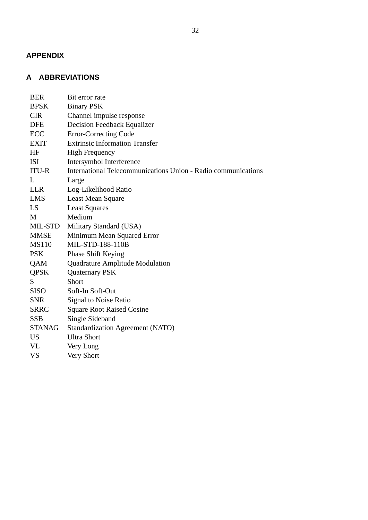# **APPENDIX**

# **A ABBREVIATIONS**

| <b>BER</b>      | Bit error rate                                                |
|-----------------|---------------------------------------------------------------|
| <b>BPSK</b>     | <b>Binary PSK</b>                                             |
| <b>CIR</b>      | Channel impulse response                                      |
| DFE             | <b>Decision Feedback Equalizer</b>                            |
| ECC             | <b>Error-Correcting Code</b>                                  |
| EXIT            | <b>Extrinsic Information Transfer</b>                         |
| HF              | <b>High Frequency</b>                                         |
| <b>ISI</b>      | Intersymbol Interference                                      |
| <b>ITU-R</b>    | International Telecommunications Union - Radio communications |
| L               | Large                                                         |
| <b>LLR</b>      | Log-Likelihood Ratio                                          |
| LMS             | <b>Least Mean Square</b>                                      |
| LS              | <b>Least Squares</b>                                          |
| M               | Medium                                                        |
| MIL-STD         | Military Standard (USA)                                       |
| <b>MMSE</b>     | Minimum Mean Squared Error                                    |
| <b>MS110</b>    | MIL-STD-188-110B                                              |
| <b>PSK</b>      | <b>Phase Shift Keying</b>                                     |
| QAM             | Quadrature Amplitude Modulation                               |
| <b>QPSK</b>     | <b>Quaternary PSK</b>                                         |
| S.              | Short                                                         |
| <b>SISO</b>     | Soft-In Soft-Out                                              |
| <b>SNR</b>      | <b>Signal to Noise Ratio</b>                                  |
| <b>SRRC</b>     | <b>Square Root Raised Cosine</b>                              |
| <b>SSB</b>      | Single Sideband                                               |
| STANAG          | <b>Standardization Agreement (NATO)</b>                       |
| US <sub>1</sub> | <b>Ultra Short</b>                                            |
| VL              | Very Long                                                     |
| VS              | Very Short                                                    |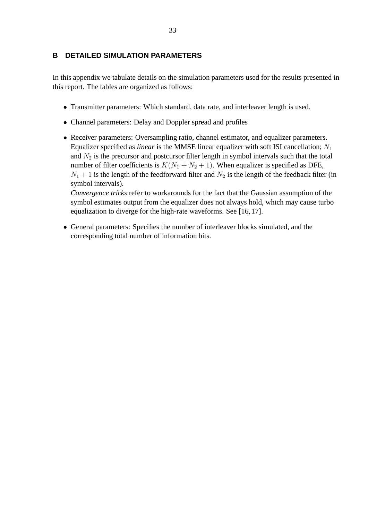#### **B DETAILED SIMULATION PARAMETERS**

In this appendix we tabulate details on the simulation parameters used for the results presented in this report. The tables are organized as follows:

- Transmitter parameters: Which standard, data rate, and interleaver length is used.
- Channel parameters: Delay and Doppler spread and profiles
- Receiver parameters: Oversampling ratio, channel estimator, and equalizer parameters. Equalizer specified as *linear* is the MMSE linear equalizer with soft ISI cancellation;  $N_1$ and  $N_2$  is the precursor and postcursor filter length in symbol intervals such that the total number of filter coefficients is  $K(N_1 + N_2 + 1)$ . When equalizer is specified as DFE,  $N_1 + 1$  is the length of the feedforward filter and  $N_2$  is the length of the feedback filter (in symbol intervals).

*Convergence tricks* refer to workarounds for the fact that the Gaussian assumption of the symbol estimates output from the equalizer does not always hold, which may cause turbo equalization to diverge for the high-rate waveforms. See [16, 17].

• General parameters: Specifies the number of interleaver blocks simulated, and the corresponding total number of information bits.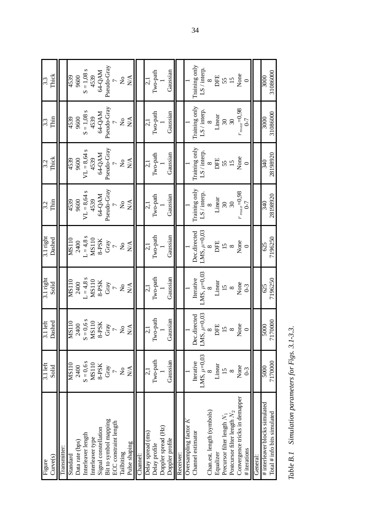| Curve(s)<br>Figure             | $3.1$ left<br>Solid     | Dashed<br>$3.1$ left | 3.1 right<br>Solid        | 3.1 right<br>Dashed       | Thin<br>3.2                     | Thick<br>3.2                    | Thin<br>3.3               | Thick<br>3.3         |
|--------------------------------|-------------------------|----------------------|---------------------------|---------------------------|---------------------------------|---------------------------------|---------------------------|----------------------|
| Transmitter:                   |                         |                      |                           |                           |                                 |                                 |                           |                      |
| Standard                       | MS110                   | MSI10                | MS110                     | MSI10                     | 4539                            | 4539                            | 4539                      | 4539                 |
| Data rate (bps)                | 2400                    | 2400                 | 2400                      | 2400                      | 9600                            | 9600                            | 9600                      | 9600                 |
| Interleaver length             | $S = 0,6s$              | $S = 0,6s$           | $L = 4.8 s$               | $L = 4.8$ s               | $VL = 8,64 s$                   | S<br>$VL = 8,64$                | S<br>$S = 1,08$           | $S = 1,08$ s         |
| Interleaver type               | MS110                   | <b>MS110</b>         | <b>MS110</b>              | <b>MS110</b>              | 4539                            | 4539                            | 4539                      | 4539                 |
| Signal constellation           | 8-PSK                   | 8-PSK                | 8-PSK                     | 8-PSK                     | 64-QAM                          | 64-QAM                          | 64-QAM                    | 64-QAM               |
| Bit to symbol mapping          | Gray                    | Gray                 | Gray                      | Gray                      | Pseudo-Gray                     | Pseudo-Gray                     | Pseudo-Gray               | Pseudo-Gray          |
| ECC constraint length          |                         | $\overline{a}$       | $\overline{a}$            | $\overline{a}$            |                                 |                                 |                           |                      |
| Tailbiting                     | $\overline{\mathsf{X}}$ | $\mathsf{S}^{\circ}$ | $\mathsf{S}^{\mathsf{o}}$ | $\rm \stackrel{\circ}{Z}$ | $\frac{1}{2}$                   | $\mathsf{S}^{\mathsf{O}}$       | $\mathsf{S}^{\mathsf{O}}$ | $\tilde{\mathsf{z}}$ |
| Pulse shaping                  | N/A                     | N/A                  | $\sum_{i=1}^{n}$          | $\sum_{i=1}^{n}$          | $\frac{\mathbf{A}}{\mathbf{A}}$ | $\frac{\mathbf{A}}{\mathbf{A}}$ | N/A                       | $\sum_{i=1}^{n}$     |
| Channel:                       |                         |                      |                           |                           |                                 |                                 |                           |                      |
| Delay spread (ms)              | $\vec{c}$               | $\frac{1}{2}$        | $\frac{1}{2}$             | $\frac{1}{2}$             | 2,1                             | $\vec{c}$                       | $\frac{1}{2}$             | $\vec{c}$            |
| Delay profile                  | Two-path                | Two-path             | Iwo-path                  | Two-path                  | Two-path                        | Two-path                        | Two-path                  | Two-path             |
| Doppler spread (Hz)            |                         |                      |                           |                           |                                 |                                 |                           |                      |
| Doppler profile                | Gaussian                | Gaussian             | Gaussian                  | Gaussian                  | Gaussian                        | Gaussian                        | Gaussian                  | Gaussian             |
| Receiver:                      |                         |                      |                           |                           |                                 |                                 |                           |                      |
| Oversampling factor K          |                         |                      |                           |                           |                                 |                                 |                           |                      |
| Channel estimator              | Iterative               | directed<br>Dec      | Iterative                 | Dec.directed              | Training only                   | Training only                   | Training only             | Training only        |
|                                | LMS, $\mu$ =0,03        | LMS, $\mu$ =0,03     | LMS, $\mu$ =0,03          | LMS, $\mu$ =0,03          | LS / interp.                    | LS / interp.                    | LS / interp.              | LS/interp.           |
| Chan.est. length (symbols)     |                         |                      | ∞                         | ∞                         | $\infty$                        | $\infty$                        | $\infty$                  | $\infty$             |
| Equalizer                      | Linear                  | DFE                  | Linear                    | DFE                       | Linear                          | DFE                             | Linear                    | DFE                  |
| Precursor filter length $N_1$  | $\overline{15}$         | 15                   | 15                        | $\frac{8}{5}$             | $\Im$                           | 55                              | $\overline{\omega}$       | 55<br>15             |
| Postcursor filter length $N_2$ | $\infty$                | $\infty$             | $\infty$                  |                           | 30                              |                                 | $\mathfrak{S}$            |                      |
| Convergence tricks in demapper | None                    | None                 | None                      | None                      | $r_{max}$ =0,98                 | None                            | $r_{max}\!\!=\!\!0,\!98$  | None                 |
| # iterations                   | $0-3$                   | $\circ$              | $0 - 3$                   | $\circ$                   | $6 - 7$                         | $\circ$                         | $0 - 7$                   | $\circ$              |
| General:                       |                         |                      |                           |                           |                                 |                                 |                           |                      |
| # interleaver blocks simulated | 5000                    | 5000                 | 625                       | 625                       | 340                             | 340                             | $\frac{1}{3000}$          | 3000                 |
| Total $#$ info bits simulated  | 7170000                 | 7170000              | 7196250                   | 7196250                   | 28198920                        | 28198920                        | 31086000                  | 31086000             |
|                                |                         |                      |                           |                           |                                 |                                 |                           |                      |

Table B.1 Simulation parameters for Figs. 3.1-3.3. *Table B.1 Simulation parameters for Figs. 3.1-3.3.*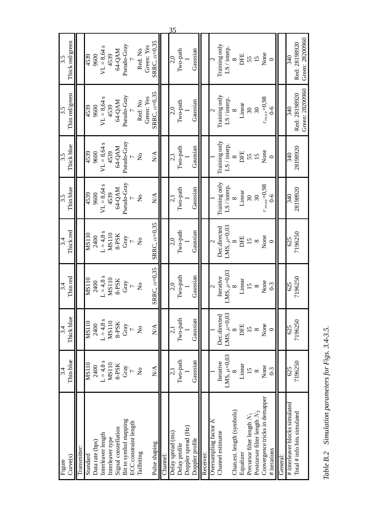| Green: 28200960      | Green: 28200960      |                         |                          |                           |                           |                               |                         |                                                               |
|----------------------|----------------------|-------------------------|--------------------------|---------------------------|---------------------------|-------------------------------|-------------------------|---------------------------------------------------------------|
| Red: 28198920<br>340 | Red: 28198920<br>340 | 28198920<br>340         | 28198920<br>340          | 7196250<br>625            | 7196250<br>625            | 7196250<br>625                | 7196250<br>625          | # interleaver blocks simulated<br>Total # info bits simulated |
|                      |                      |                         |                          |                           |                           |                               |                         | General:                                                      |
|                      | $6-6$                |                         | $6-6$                    |                           | $0-3$                     |                               | $0-3$                   | # iterations                                                  |
| None                 | $r_{max} = 0.98$     | None                    | $r_{max}\!\!=\!\!0,\!98$ | None                      | None                      | None                          | None                    | Convergence tricks in demappen                                |
|                      | $\mathfrak{S}0$      | 15                      | $\overline{30}$          | $\infty$                  | $\infty$                  |                               | $\infty$                | Postcursor filter length $N_2$                                |
| 55<br>15             | $\overline{\omega}$  | 55                      | 30                       | $\overline{15}$           | 15                        | $\frac{15}{8}$                | $\frac{15}{2}$          | Precursor filter length $N_1$                                 |
| DFE                  | Linear               | DFE                     | Linear                   | DFE                       | Linear                    | DFE                           | Linear                  | Equalizer                                                     |
| $\infty$             | $\infty$             | $\infty$                | $\infty$                 |                           |                           |                               |                         | Chan.est. length (symbols)                                    |
| LS / interp.         | LS / interp.         | LS / interp.            | LS / interp.             | LMS, $\mu$ =0,03          | LMS, $\mu=0.03$           | $LMS$ , $\mu=0.03$            | LMS, $\mu$ =0,03        |                                                               |
| Training only        | Training only        | Training only           | Training only            | Dec.directed              | Iterative                 | Dec.directed                  | Iterative               | Channel estimator                                             |
|                      |                      |                         |                          |                           |                           |                               |                         | Oversampling factor K                                         |
|                      |                      |                         |                          |                           |                           |                               |                         | Receiver:                                                     |
| Gaussian             | Gaussian             | Gaussian                | Gaussian                 | Gaussian                  | Gaussian                  | Gaussian                      | Gaussian                | Doppler profile                                               |
|                      |                      |                         |                          |                           |                           |                               |                         | Doppler spread (Hz)                                           |
| Two-path             | Two-path             | Two-path                | Two-path                 | Two-path                  | Two-path                  | Two-path                      | Two-path                | Delay profile                                                 |
| 2,0                  | 2,0                  | 2,1                     | 2,1                      | 2,0                       | 2,0                       | $\vec{c}$                     | $\overline{c}$          | Delay spread (ms)                                             |
|                      |                      |                         |                          |                           |                           |                               |                         | Channel:                                                      |
| SRRC, $\alpha=0.35$  | SRRC, $\alpha=0.35$  | $\sum_{i=1}^{n}$        | $\sum_{i=1}^{n}$         | SRRC, $\alpha=0.35$       | SRRC, $\alpha=0.35$       | $\sum_{i=1}^{n}$              | $\sum_{i=1}^{n}$        | Pulse shaping                                                 |
| Green: Yes           | Green: Yes           |                         |                          |                           |                           |                               |                         |                                                               |
| Red: No              | Red: No              | $\overline{\mathsf{x}}$ | $\frac{1}{2}$            | $\mathsf{S}^{\mathsf{O}}$ | $\mathsf{S}^{\mathsf{o}}$ | $\mathsf{S}^{\mathsf{o}}$     | $\overline{\mathsf{x}}$ | Tailbiting                                                    |
|                      |                      |                         |                          |                           | $\overline{C}$            |                               | $\overline{C}$          | ECC constraint length                                         |
| Pseudo-Gray          | Pseudo-Gray          | Pseudo-Gray             | Pseudo-Gray              | Gray                      | Gray                      | $\frac{1}{\text{S-PSK}}$ Gray | Gray                    | Bit to symbol mapping                                         |
| 64-QAM               | 64-QAM               | 64-QAM                  | 64-QAM                   | 8-PSK                     | 8-PSK                     |                               | 8-PSK                   | Signal constellation                                          |
| 4539                 | 4539                 | 4539                    | 4539                     | <b>MS110</b>              | <b>MS110</b>              | <b>MS110</b>                  | <b>MS110</b>            | Interleaver type                                              |
| $VL = 8,64 s$        | $VL = 8,64 s$        | $VI = 8,64 s$           | S<br>$VL = 8,64$         | $L = 4.8 s$               | $L = 4.8$ s               | $L = 4.8 s$                   | $L = 4.8 s$             | Interleaver length                                            |
| 9600                 | 9600                 | 9600                    | 9600                     | 2400                      | 2400                      | 2400                          | 2400                    | Data rate (bps)                                               |
| 4539                 | 4539                 | 4539                    | 4539                     | <b>MS110</b>              | <b>MS110</b>              | MS110                         | <b>MS110</b>            | Standard                                                      |
|                      |                      |                         |                          |                           |                           |                               |                         | Transmitter:                                                  |
| Thick red/green      | Thin red/green       | Thick blue              | Thin blue                | Thick red                 | Thin red                  | Thick blue                    | Thin blue               | Curve(s)                                                      |
| 3.5                  | 3.5                  | 3.5                     | 3.5                      | 3.4                       | 3.4                       | 3.4                           | 3.4                     | Figure                                                        |

Table B.2 Simulation parameters for Figs. 3.4-3.5. *Table B.2 Simulation parameters for Figs. 3.4-3.5.*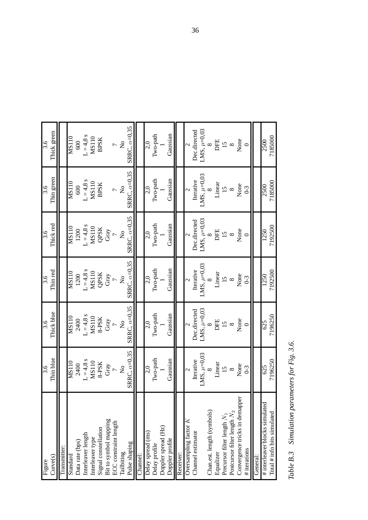| Curve(s)<br>Figure                     | Thin blue<br>3.6          | Thick blue<br>3.6    | Thin red<br>3.6           | Thick red<br>3.6         | Thin green<br>3.6         | Thick green<br>3.6        |
|----------------------------------------|---------------------------|----------------------|---------------------------|--------------------------|---------------------------|---------------------------|
| Transmitter:                           |                           |                      |                           |                          |                           |                           |
| Standard                               | MS110                     | <b>MS110</b>         | <b>MS110</b>              | <b>MS110</b>             | MS110                     | MS110                     |
| Data rate (bps)                        | 2400                      | 2400                 | 1200                      | 1200                     | 600                       | 600                       |
| Interleaver length                     | $L = 4.8 s$               | $L = 4.8$ s          | $L = 4.8$ s               | $L = 4.8$ s              | $L = 4.8$ s               | $L = 4.8$ s               |
| Interleaver type                       | MS110                     | <b>MS110</b>         | <b>MS110</b>              | <b>MS110</b>             | <b>MS110</b>              | <b>MS110</b>              |
| Signal constellation                   | 8-PSK                     | 8-PSK                | QPSK                      | QPSK                     | <b>BPSK</b>               | <b>BPSK</b>               |
| Bit to symbol mapping                  | Gray                      | Gray                 | Gray                      | Gray                     |                           |                           |
| ECC constraint length                  |                           |                      |                           |                          | $\overline{a}$            | $\overline{a}$            |
| Tailbiting                             | $\mathsf{S}^{\mathsf{O}}$ | $\mathsf{S}^{\circ}$ | $\mathsf{S}^{\mathsf{O}}$ | $\tilde{z}$              | $\mathsf{S}^{\mathsf{O}}$ | $\mathsf{S}^{\mathsf{O}}$ |
| Pulse shaping                          | SRRC, $\alpha=0,35$       | SRRC, $\alpha=0.35$  | SRRC, $\alpha=0,35$       | SRRC, $\alpha=0,35$      | SRRC, $\alpha=0.35$       | SRRC, $\alpha=0.35$       |
| Channel:                               |                           |                      |                           |                          |                           |                           |
| Delay spread (ms)                      | 2,0                       | 2,0                  | 2,0                       | 2,0                      | 2,0                       | 2,0                       |
| Delay profile                          | Two-path                  | Two-path             | Two-path                  | Two-path                 | Two-path                  | Two-path                  |
| Doppler spread (Hz)                    |                           |                      |                           |                          |                           |                           |
| Doppler profile                        | Gaussian                  | Gaussian             | Gaussian                  | Gaussian                 | Gaussian                  | Gaussian                  |
| Receiver:                              |                           |                      |                           |                          |                           |                           |
| Oversampling factor $K$                | $\overline{\mathcal{C}}$  |                      | $\overline{c}$            | $\overline{\phantom{0}}$ | $\overline{\mathcal{C}}$  | $\overline{c}$            |
| Channel estimator                      | Iterative                 | Dec.directed         | Iterative                 | Dec.directed             | Iterative                 | Dec.directed              |
|                                        | LMS, $\mu$ =0,03          | LMS, $\mu$ =0,03     | LMS, $\mu$ =0,03          | LMS, $\mu$ =0,03         | LMS, $\mu$ =0,03          | LMS, $\mu$ =0,03          |
| Chan.est. length (symbols)             | ∞                         | $\infty$             |                           | $\infty$                 | ∞                         | $\infty$                  |
| Equalizer                              | Linear                    | DFE                  | Linear                    | DFE                      | Linear                    | DFE                       |
| Precursor filter length N <sub>1</sub> | 15                        | $\overline{15}$      | $\frac{15}{2}$            | $\overline{15}$          | 15                        | $\overline{15}$           |
| Postcursor filter length $N_2$         | $\infty$                  | $\infty$             | $\infty$                  | $\infty$                 | $\infty$                  | $\infty$                  |
| Convergence tricks in demapper         | None                      | None                 | None                      | None                     | None                      | None                      |
| # iterations                           | $0-3$                     | $\circ$              | $0-3$                     | $\circ$                  | $0-3$                     | $\circ$                   |
| General:                               |                           |                      |                           |                          |                           |                           |
| # interleaver blocks simulated         | 625                       | 625                  | 1250                      | 1250                     | 2500                      | 2500                      |
| Total $#$ info bits simulated          | 7196250                   | 7196250              | 7192500                   | 7192500                  | 7185000                   | 7185000                   |
|                                        |                           |                      |                           |                          |                           |                           |

Table B.3 Simulation parameters for Fig. 3.6. *Table B.3 Simulation parameters for Fig. 3.6.*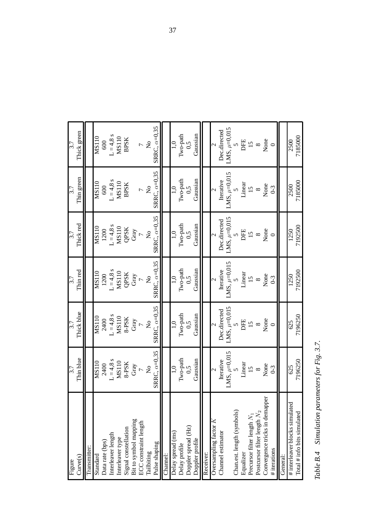| Curve(s)<br>Figure             | Thin blue<br>3.7          | Thick blue<br>3.7         | Thin red<br>3.7      | Thick red<br>3.7          | Thin green<br>3.7   | Thick green<br>3.7  |
|--------------------------------|---------------------------|---------------------------|----------------------|---------------------------|---------------------|---------------------|
| Transmitter:                   |                           |                           |                      |                           |                     |                     |
| Standard                       | MS110                     | <b>MS110</b>              | MS110                | MS110                     | MS110               | MS110               |
| Data rate (bps)                | 2400                      | 2400                      | 1200                 | 1200                      | 600                 | 600                 |
| Interleaver length             | $L = 4.8 s$               | $L = 4.8 s$               | $L = 4.8$ s          | $L = 4.8 s$               | $L = 4.8 s$         | $L = 4.8$ s         |
| Interleaver type               | MS110                     | <b>MS110</b>              | <b>MS110</b>         | <b>MS110</b>              | <b>MS110</b>        | MS110               |
| Signal constellation           | 8-PSK                     | 8-PSK                     | QPSK                 | QPSK                      | <b>BPSK</b>         | <b>BPSK</b>         |
| Bit to symbol mapping          | Gray                      | Gray                      | Gray                 | Gray                      |                     |                     |
| <b>ECC</b> constraint length   | $\overline{C}$            | $\overline{a}$            | $\overline{a}$       | $\overline{C}$            | $\overline{a}$      | $\overline{a}$      |
| Tailbiting                     | $\mathsf{S}^{\mathsf{O}}$ | $\mathsf{S}^{\mathsf{O}}$ | $\mathsf{S}^{\circ}$ | $\mathsf{S}^{\mathsf{O}}$ | $\frac{1}{2}$       | $\frac{1}{2}$       |
| Pulse shaping                  | SRRC, $\alpha=0.35$       | SRRC, $\alpha=0.35$       | SRRC, $\alpha=0.35$  | SRRC, $\alpha=0.35$       | SRRC, $\alpha=0.35$ | SRRC, $\alpha=0.35$ |
| Channel:                       |                           |                           |                      |                           |                     |                     |
| Delay spread (ms)              | 1,0                       | 1,0                       | 1,0                  | 1,0                       | 1,0                 | 1,0                 |
| Delay profile                  | Two-path                  | Two-path                  | Two-path             | Two-path                  | Two-path            | Two-path            |
| Doppler spread (Hz)            | 0,5                       | 0,5                       | 0,5                  | 0,5                       | 0,5                 | 0,5                 |
| Doppler profile                | Gaussian                  | Gaussian                  | Gaussian             | Gaussian                  | Gaussian            | Gaussian            |
| Receiver:                      |                           |                           |                      |                           |                     |                     |
| Oversampling factor $K$        | $\mathcal{L}$             | $\mathbf{c}$              | $\mathbf{C}$         | $\mathbf{C}$              |                     | $\mathbf{C}$        |
| Channel estimator              | Iterative                 | Dec.directed              | Iterative            | Dec.directed              | Iterative           | Dec.directed        |
|                                | LMS, $\mu$ =0,015         | LMS, $\mu$ =0,015         | LMS, $\mu = 0.015$   | LMS, $\mu$ =0,015         | LMS, $\mu$ =0,015   | $MS, \mu = 0.015$   |
| Chan.est. length (symbols)     |                           | $\sigma$                  |                      |                           |                     | $\sigma$            |
| Equalizer                      | Linear                    | DFE                       | Linear               | DFE                       | Linear              | DFE                 |
| Precursor filter length $N_1$  | $\overline{15}$           | 15                        | 15                   | 15                        | 15                  | 15                  |
| Postcursor filter length $N_2$ | $\infty$                  | $\infty$                  | $\infty$             | $\infty$                  | $\infty$            | $\infty$            |
| Convergence tricks in demapper | None                      | None                      | None                 | None                      | None                | None                |
| # iterations                   | $0-3$                     | $\circ$                   | $0-3$                |                           | $0 - 3$             |                     |
| General:                       |                           |                           |                      |                           |                     |                     |
| # interleaver blocks simulated | 625                       | 625                       | 1250                 | 1250                      | 2500                | 2500                |
| Total $#$ info bits simulated  | 7196250                   | 7196250                   | 7192500              | 7192500                   | 7185000             | 7185000             |

Table B.4 Simulation parameters for Fig. 3.7. *Table B.4 Simulation parameters for Fig. 3.7.*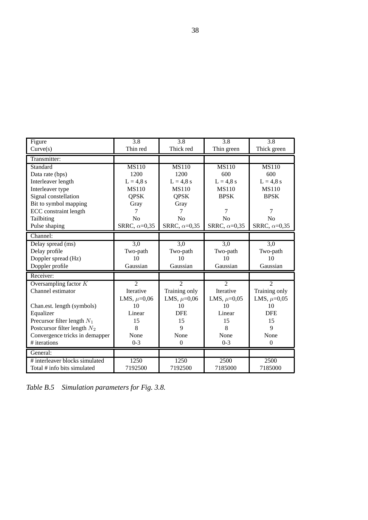| Figure                         | 3.8                  | 3.8                 | 3.8                 | 3.8                 |
|--------------------------------|----------------------|---------------------|---------------------|---------------------|
| Curve(s)                       | Thin red             | Thick red           | Thin green          | Thick green         |
| Transmitter:                   |                      |                     |                     |                     |
| Standard                       | <b>MS110</b>         | <b>MS110</b>        | <b>MS110</b>        | <b>MS110</b>        |
| Data rate (bps)                | 1200                 | 1200                | 600                 | 600                 |
| Interleaver length             | $L = 4.8 s$          | $L = 4.8$ s         | $L = 4.8$ s         | $L = 4.8 s$         |
| Interleaver type               | <b>MS110</b>         | MS110               | MS110               | MS110               |
| Signal constellation           | <b>QPSK</b>          | <b>QPSK</b>         | <b>BPSK</b>         | <b>BPSK</b>         |
| Bit to symbol mapping          | Gray                 | Gray                |                     |                     |
| ECC constraint length          | 7                    | 7                   | 7                   | 7                   |
| Tailbiting                     | No                   | No                  | No                  | No                  |
| Pulse shaping                  | SRRC, $\alpha$ =0,35 | SRRC, $\alpha=0,35$ | SRRC, $\alpha=0,35$ | SRRC, $\alpha=0,35$ |
| Channel:                       |                      |                     |                     |                     |
| Delay spread (ms)              | $\overline{3,0}$     | $\overline{3,0}$    | 3,0                 | $\overline{3,0}$    |
| Delay profile                  | Two-path             | Two-path            | Two-path            | Two-path            |
| Doppler spread (Hz)            | 10                   | 10                  | 10                  | 10                  |
| Doppler profile                | Gaussian             | Gaussian            | Gaussian            | Gaussian            |
| Receiver:                      |                      |                     |                     |                     |
| Oversampling factor $K$        | $\overline{2}$       | $\overline{2}$      | $\overline{2}$      | $\overline{2}$      |
| Channel estimator              | Iterative            | Training only       | Iterative           | Training only       |
|                                | LMS, $\mu$ =0,06     | LMS, $\mu=0.06$     | LMS, $\mu$ =0,05    | LMS, $\mu$ =0,05    |
| Chan.est. length (symbols)     | 10                   | 10                  | 10                  | 10                  |
| Equalizer                      | Linear               | <b>DFE</b>          | Linear              | <b>DFE</b>          |
| Precursor filter length $N_1$  | 15                   | 15                  | 15                  | 15                  |
| Postcursor filter length $N_2$ | 8                    | $\mathbf Q$         | 8                   | 9                   |
| Convergence tricks in demapper | None                 | None                | None                | None                |
| # iterations                   | $0 - 3$              | $\mathbf{0}$        | $0 - 3$             | $\theta$            |
| General:                       |                      |                     |                     |                     |
| # interleaver blocks simulated | 1250                 | 1250                | 2500                | 2500                |
| Total # info bits simulated    | 7192500              | 7192500             | 7185000             | 7185000             |

*Table B.5 Simulation parameters for Fig. 3.8.*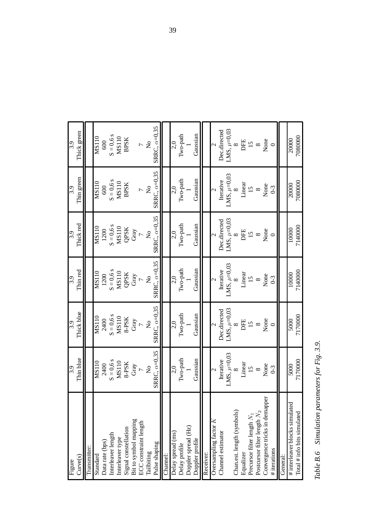| Curve(s)<br>Figure             | Thin blue<br>3.9      | Thick blue<br>3.9         | Thin red<br>3.9     | Thick red<br>3.9                        | Thin green<br>3.9   | Thick green<br>3.9        |
|--------------------------------|-----------------------|---------------------------|---------------------|-----------------------------------------|---------------------|---------------------------|
| Transmitter:                   |                       |                           |                     |                                         |                     |                           |
| Standard                       | <b>MS110</b>          | MS110                     | MS110               | MS110                                   | MS110               | MS110                     |
| Data rate (bps)                | 2400                  | 2400                      | 1200                | 1200                                    | 600                 | 600                       |
| Interleaver length             | $S = 0,6$ s           | $S = 0, 6$ s              | $S = 0, 6$ s        | $S = 0, 6$ s                            | $S = 0, 6s$         | $S = 0,6s$                |
| Interleaver type               | <b>MS110</b>          | <b>MS110</b>              | <b>MS110</b>        | <b>MS110</b>                            | MS110               | MS110                     |
| Signal constellation           | 8-PSK                 | 8-PSK                     | QPSK                | QPSK                                    | <b>BPSK</b>         | <b>BPSK</b>               |
| Bit to symbol mapping          | Gray                  | Gray                      | Gray                | Gray                                    |                     |                           |
| <b>ECC</b> constraint length   | $\overline{a}$        |                           | $\overline{C}$      |                                         | $\overline{a}$      | $\overline{a}$            |
| Tailbiting                     | $\mathcal{L}^{\circ}$ | $\mathsf{S}^{\mathsf{O}}$ | $\tilde{z}$         | $\mathcal{L}_{\mathbf{Q}}^{\mathbf{Q}}$ | $\frac{1}{2}$       | $\mathsf{S}^{\mathsf{O}}$ |
| Pulse shaping                  | SRRC, $\alpha=0.35$   | SRRC, $\alpha=0.35$       | SRRC, $\alpha=0.35$ | SRRC, $\alpha=0.35$                     | SRRC, $\alpha=0.35$ | SRRC, $\alpha=0.35$       |
| Channel:                       |                       |                           |                     |                                         |                     |                           |
| Delay spread (ms)              | 2,0                   | 2,0                       | 2,0                 | 2,0                                     | 2,0                 | 2,0                       |
| Delay profile                  | Two-path              | Two-path                  | Two-path            | Two-path                                | Two-path            | Two-path                  |
| Doppler spread (Hz)            |                       |                           |                     |                                         |                     |                           |
| Doppler profile                | Gaussian              | Gaussian                  | Gaussian            | Gaussian                                | Gaussian            | Gaussian                  |
| Receiver:                      |                       |                           |                     |                                         |                     |                           |
| Oversampling factor $K$        |                       | $\overline{c}$            | $\mathcal{L}$       |                                         | 2                   | $\sim$                    |
| Channel estimator              | Iterative             | Dec.directed              | Iterative           | Dec.directed                            | Iterative           | Dec.directed              |
|                                | LMS, $\mu$ =0,03      | LMS, $\mu$ =0,03          | LMS, $\mu$ =0,03    | LMS, $\mu$ =0,03                        | LMS, $\mu$ =0,03    | LMS, $\mu$ =0,03          |
| Chan.est. length (symbols)     | $\infty$              | $\infty$                  |                     | ∞                                       |                     | $\infty$                  |
| Equalizer                      | Linear                | DFE                       | Linear              | DFE                                     | Linear              | DFE                       |
| Precursor filter length $N_1$  | 15                    | $\overline{15}$           | 15                  | 15                                      | 15                  | 15                        |
| Postcursor filter length $N_2$ | $\infty$              | $\infty$                  | $\infty$            | $\infty$                                | $\infty$            | $\infty$                  |
| Convergence tricks in demapper | None                  | None                      | None                | None                                    | None                | None                      |
| # iterations                   | $0-3$                 | $\circ$                   | $0-3$               |                                         | $0 - 3$             |                           |
| General:                       |                       |                           |                     |                                         |                     |                           |
| # interleaver blocks simulated | 5000                  | 5000                      | 10000               | 10000                                   | 20000               | 20000                     |
| Total $#$ info bits simulated  | 7170000               | 7170000                   | 7140000             | 7140000                                 | 7080000             | 7080000                   |

Table B.6 Simulation parameters for Fig. 3.9. *Table B.6 Simulation parameters for Fig. 3.9.*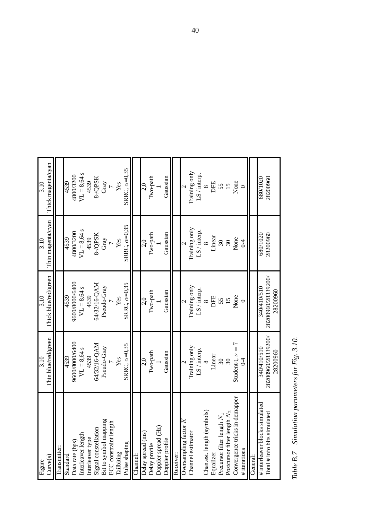| Curve(s)<br>Figure             | Thin blue/red/green<br>3.10    | Thick blue/red/green<br>3.10   | Thin magenta/cyan<br>3.10 | Thick magenta/cyan<br>3.10 |
|--------------------------------|--------------------------------|--------------------------------|---------------------------|----------------------------|
| Transmitter:                   |                                |                                |                           |                            |
| Standard                       | 4539                           | 4539                           | 4539                      | 4539                       |
| Data rate (bps)                | 9600/8000/6400                 | 9600/8000/6400                 | 4800/3200                 | 4800/3200                  |
| Interleaver length             | $VL = 8,64 s$                  | $VL = 8,64 s$                  | $VL = 8,64 s$             | $VL = 8,64$ s              |
| Interleaver type               | 4539                           | 4539                           | 4539                      | 4539                       |
| Signal constellation           | 64/32/16-QAM                   | 64/32/16-QAM                   | 8-/QPSK                   | 8-/QPSK                    |
| Bit to symbol mapping          | Pseudo-Gray                    | Pseudo-Gray                    | Gray                      | Gray                       |
| ECC constraint length          |                                |                                | $\overline{C}$            | $\overline{C}$             |
| Tailbiting                     | Yes                            | Yes                            | Yes                       | Yes                        |
| Pulse shaping                  | SRRC, $\alpha=0.35$            | SRRC, $\alpha=0.35$            | SRRC, $\alpha=0.35$       | SRRC, $\alpha=0.35$        |
| Channel:                       |                                |                                |                           |                            |
| Delay spread (ms)              | 2,0                            | 2,0                            | 2,0                       | 2,0                        |
| Delay profile                  | Two-path                       | Two-path                       | Two-path                  | Two-path                   |
| Doppler spread (Hz)            |                                |                                |                           |                            |
| Doppler profile                | Gaussian                       | Gaussian                       | Gaussian                  | Gaussian                   |
| Receiver:                      |                                |                                |                           |                            |
| Oversampling factor K          |                                |                                |                           |                            |
| Channel estimator              | Training only                  | Training only                  | Training only             | Training only              |
|                                | LS / interp.                   | LS / interp.                   | LS / interp.              | LS / interp.               |
| Chan.est. length (symbols)     | $\infty$                       | $\infty$                       | $\infty$                  | $\infty$                   |
| Equalizer                      | Linear                         | DFE                            | Linear                    | DFE                        |
| Precursor filter length $N_1$  | 30                             | 55                             | 30                        | 55                         |
| Postcursor filter length $N_2$ | 30                             |                                | $\mathfrak{S}0$           | 15                         |
| Convergence tricks in demapper | Student-t, $\nu = 7$           | None                           | None                      | None                       |
| # iterations                   | $\overline{0}$                 |                                | $\overline{0}$            | $\circ$                    |
| General:                       |                                |                                |                           |                            |
| # interleaver blocks simulated | 340/410/510                    | 340/410/510                    | 680/1020                  | 680/1020                   |
| Total $#$ info bits simulated  | 28200960/28339200/<br>28200960 | 28200960/28339200/<br>28200960 | 28200960                  | 28200960                   |
|                                |                                |                                |                           |                            |

Table B.7 Simulation parameters for Fig. 3.10. *Table B.7 Simulation parameters for Fig. 3.10.*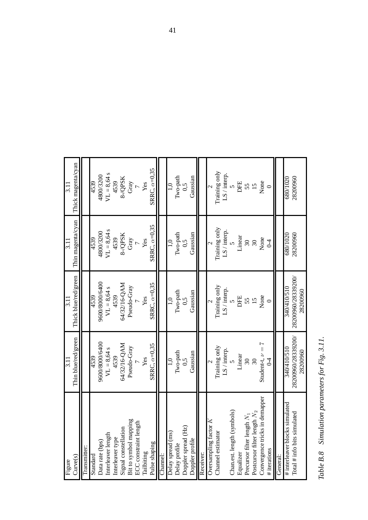| Curve(s)<br>Figure                             | Thin blue/red/green<br>3.11       | Thick blue/red/green<br>3.11 | Thin magenta/cyan<br>3.11  | Thick magenta/cyan<br>3.11 |
|------------------------------------------------|-----------------------------------|------------------------------|----------------------------|----------------------------|
| Transmitter:                                   |                                   |                              |                            |                            |
| Data rate (bps)<br>Standard                    | 9600/8000/6400<br>4539            | 9600/8000/6400<br>4539       | 4800/3200<br>4539          | 4800/3200<br>4539          |
| Interleaver length                             | $VL = 8,64 s$                     | $VL = 8,64 s$                | $VL = 8,64 s$              | $VL = 8,64 s$              |
| Interleaver type                               | 4539                              | 4539                         | 4539                       | 4539                       |
| Signal constellation                           | 64/32/16-QAM                      | 64/32/16-QAM                 | 8-/QPSK                    | 8-/QPSK                    |
| Bit to symbol mapping                          | Pseudo-Gray<br>7                  | Pseudo-Gray                  | Gray                       | Gray                       |
| ECC constraint length                          |                                   |                              | $\overline{a}$             | $\overline{a}$             |
| Pulse shaping<br>Tailbiting                    | SRRC, $\alpha=0,35$<br>Yes        | SRRC, $\alpha=0,35$<br>Yes   | SRRC, $\alpha=0.35$<br>Yes | SRRC, $\alpha=0.35$<br>Yes |
| Channel:                                       |                                   |                              |                            |                            |
| Delay spread (ms)                              | $\ddot{=}$                        | 1,0                          | 1,0                        | 1,0                        |
| Delay profile                                  | Two-path                          | Two-path                     | Two-path                   | Two-path                   |
| Doppler spread (Hz)                            | 0,5                               | 0,5                          | 0,5                        | $\tilde{c}$                |
| Doppler profile                                | Gaussian                          | Gaussian                     | Gaussian                   | Gaussian                   |
| Receiver:                                      |                                   |                              |                            |                            |
| Oversampling factor K                          |                                   |                              |                            |                            |
| Channel estimator                              | Training only                     | Training only                | Training only              | Training only              |
|                                                | LS / interp.                      | LS/interp.                   | LS / interp.               | LS / interp.               |
| Chan.est. length (symbols)                     |                                   | $\mathbf{v}$                 |                            | $\overline{v}$             |
| Equalizer                                      | Linear                            | DFE                          | Linear                     | DFE                        |
| Precursor filter length N <sub>1</sub>         | 30                                | 55                           | $\frac{30}{20}$            | $\frac{55}{15}$            |
| Postcursor filter length $N_2$                 | $\sqrt{30}$                       |                              |                            |                            |
| Convergence tricks in demapper<br># iterations | Student-t, $\nu = 7$<br>$\gtrsim$ | None                         | None<br>$\overline{0}$     | None                       |
| General:                                       |                                   |                              |                            |                            |
| # interleaver blocks simulated                 | 015/017/078                       | 340/410/510                  | 680/1020                   | 680/1020                   |
| Total # info bits simulated                    | 28200960/28339200/                | 28200960/28339200/           | 28200960                   | 28200960                   |
|                                                | 28200960                          | 28200960                     |                            |                            |

Table B.8 Simulation parameters for Fig. 3.11. *Table B.8 Simulation parameters for Fig. 3.11.*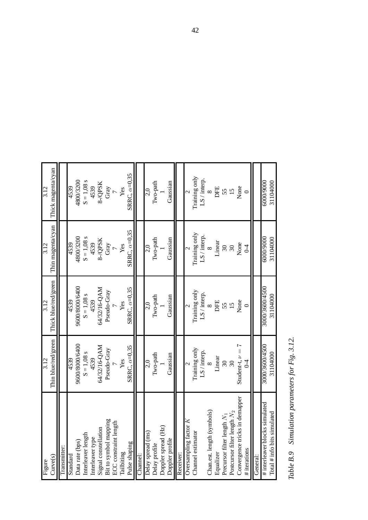| Figure                                                          | 3.12                       | 3.12                       | 3.12                 | 3.12                 |
|-----------------------------------------------------------------|----------------------------|----------------------------|----------------------|----------------------|
| Curve(s)                                                        | Thin blue/red/green        | Thick blue/red/green       | Thin magenta/cyan    | Thick magenta/cyan   |
| Transmitter:                                                    |                            |                            |                      |                      |
| Standard                                                        | 4539                       | 4539                       | 4539                 | 4539                 |
| Data rate (bps)                                                 | 9600/8000/6400             | 9600/8000/6400             | 4800/3200            | 4800/3200            |
| Interleaver length                                              | $S = 1,08$ s               | $S = 1.08$ s               | $S = 1,08$ s         | $S = 1,08$ s         |
| nterleaver type                                                 | 4539                       | 4539                       | 4539                 | 4539                 |
| Signal constellation                                            | 64/32/16-QAM               | 64/32/16-QAM               | 8-/QPSK              | 8-/QPSK              |
| Bit to symbol mapping                                           | Pseudo-Gray                | Pseudo-Gray                | Gray                 | Gray                 |
| ECC constraint length                                           |                            |                            |                      |                      |
| Tailbiting                                                      | Yes                        | Yes                        | Yes                  | Yes                  |
| Pulse shaping                                                   | SRRC, $\alpha=0.35$        | SRRC, $\alpha=0.35$        | SRRC, $\alpha=0.35$  | SRRC, $\alpha=0.35$  |
| Channel:                                                        |                            |                            |                      |                      |
| Delay spread (ms)                                               | 2,0                        | 2,0                        | 2,0                  | 2,0                  |
| Delay profile                                                   | Two-path                   | Two-path                   | Two-path             | Two-path             |
| Doppler spread (Hz)                                             |                            |                            |                      |                      |
| Doppler profile                                                 | Gaussian                   | Gaussian                   | Gaussian             | Gaussian             |
| Receiver:                                                       |                            |                            |                      |                      |
| Oversampling factor $K$                                         |                            |                            |                      |                      |
| Channel estimator                                               | Training only              | Training only              | Training only        | Training only        |
|                                                                 | LS / interp.               | LS / interp.               | LS / interp.         | LS/interp.           |
| Chan.est. length (symbols)                                      | $\infty$                   | $\infty$                   | $\infty$             | $\infty$             |
| Equalizer                                                       | Linear                     | DFE                        | Linear               | DFE                  |
| Precursor filter length $N_1$                                   | $\overline{\mathcal{E}}$   |                            | $\sqrt{30}$          | $\frac{55}{15}$      |
| Postcursor filter length N <sub>2</sub>                         | 30                         | 55                         | $\infty$             |                      |
| Convergence tricks in demapper                                  | Student-t, $\nu = 7$       | None                       | None                 | None                 |
| # iterations                                                    | $\overline{0}$             |                            | $0 - 4$              |                      |
| General:                                                        |                            |                            |                      |                      |
| # interleaver blocks simulated<br>Total $#$ info bits simulated | 3000/3600/4500<br>31104000 | 3000/3600/4500<br>31104000 | 60009000<br>31104000 | 60009000<br>31104000 |
|                                                                 |                            |                            |                      |                      |

Table B.9 Simulation parameters for Fig. 3.12. *Table B.9 Simulation parameters for Fig. 3.12.*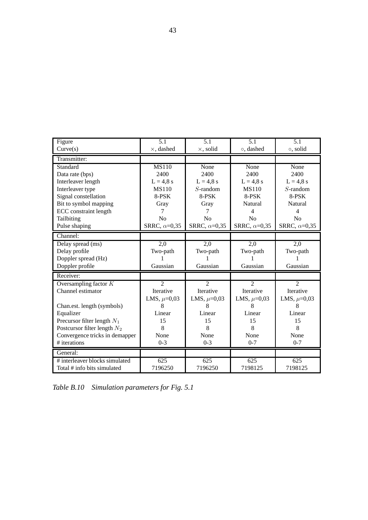| Figure                         | 5.1                 | 5.1                 | 5.1                  | 5.1                 |
|--------------------------------|---------------------|---------------------|----------------------|---------------------|
| Curve(s)                       | $\times$ , dashed   | $\times$ , solid    | o, dashed            | o, solid            |
| Transmitter:                   |                     |                     |                      |                     |
| Standard                       | <b>MS110</b>        | None                | None                 | None                |
| Data rate (bps)                | 2400                | 2400                | 2400                 | 2400                |
| Interleaver length             | $L = 4.8$ s         | $L = 4.8$ s         | $L = 4.8$ s          | $L = 4.8$ s         |
| Interleaver type               | <b>MS110</b>        | $S$ -random         | <b>MS110</b>         | $S$ -random         |
| Signal constellation           | 8-PSK               | 8-PSK               | 8-PSK                | 8-PSK               |
| Bit to symbol mapping          | Gray                | Gray                | Natural              | <b>Natural</b>      |
| <b>ECC</b> constraint length   | 7                   | 7                   | $\overline{4}$       | $\overline{4}$      |
| Tailbiting                     | N <sub>o</sub>      | N <sub>o</sub>      | N <sub>o</sub>       | No                  |
| Pulse shaping                  | SRRC, $\alpha=0,35$ | SRRC, $\alpha=0,35$ | SRRC, $\alpha$ =0,35 | SRRC, $\alpha=0,35$ |
| Channel:                       |                     |                     |                      |                     |
| Delay spread (ms)              | $\overline{2,0}$    | 2,0                 | $\overline{2,0}$     | 2,0                 |
| Delay profile                  | Two-path            | Two-path            | Two-path             | Two-path            |
| Doppler spread (Hz)            |                     |                     |                      |                     |
| Doppler profile                | Gaussian            | Gaussian            | Gaussian             | Gaussian            |
| Receiver:                      |                     |                     |                      |                     |
| Oversampling factor $K$        | $\overline{2}$      | $\overline{2}$      | $\overline{2}$       | $\overline{2}$      |
| Channel estimator              | Iterative           | Iterative           | Iterative            | Iterative           |
|                                | LMS, $\mu=0.03$     | LMS, $\mu=0.03$     | LMS, $\mu$ =0,03     | LMS, $\mu=0.03$     |
| Chan.est. length (symbols)     | 8                   | 8                   | 8                    | 8                   |
| Equalizer                      | Linear              | Linear              | Linear               | Linear              |
| Precursor filter length $N_1$  | 15                  | 15                  | 15                   | 15                  |
| Postcursor filter length $N_2$ | 8                   | 8                   | 8                    | 8                   |
| Convergence tricks in demapper | None                | None                | None                 | None                |
| # iterations                   | $0 - 3$             | $0 - 3$             | $0 - 7$              | $0 - 7$             |
| General:                       |                     |                     |                      |                     |
| # interleaver blocks simulated | 625                 | $\overline{625}$    | $\overline{625}$     | $\overline{625}$    |
| Total # info bits simulated    | 7196250             | 7196250             | 7198125              | 7198125             |

*Table B.10 Simulation parameters for Fig. 5.1*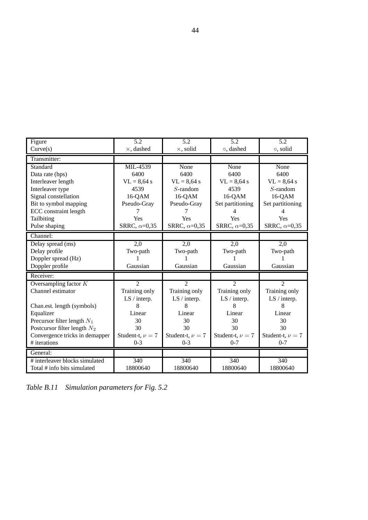| Figure                         | 5.2                  | 5.2                  | 5.2                  | 5.2                  |
|--------------------------------|----------------------|----------------------|----------------------|----------------------|
| Curve(s)                       | $\times$ , dashed    | $\times$ , solid     | o, dashed            | o, solid             |
| Transmitter:                   |                      |                      |                      |                      |
| Standard                       | MIL-4539             | None                 | None                 | None                 |
| Data rate (bps)                | 6400                 | 6400                 | 6400                 | 6400                 |
| Interleaver length             | $VL = 8,64$ s        | $VL = 8,64$ s        | $VL = 8,64$ s        | $VL = 8,64$ s        |
| Interleaver type               | 4539                 | $S$ -random          | 4539                 | $S$ -random          |
| Signal constellation           | 16-QAM               | $16-QAM$             | 16-QAM               | 16-QAM               |
| Bit to symbol mapping          | Pseudo-Gray          | Pseudo-Gray          | Set partitioning     | Set partitioning     |
| <b>ECC</b> constraint length   |                      |                      | 4                    | 4                    |
| Tailbiting                     | Yes                  | Yes                  | Yes                  | Yes                  |
| Pulse shaping                  | SRRC, $\alpha$ =0,35 | SRRC, $\alpha=0,35$  | SRRC, $\alpha=0,35$  | SRRC, $\alpha$ =0,35 |
| Channel:                       |                      |                      |                      |                      |
| Delay spread (ms)              | $\overline{2,0}$     | $\overline{2,0}$     | 2,0                  | $\overline{2,0}$     |
| Delay profile                  | Two-path             | Two-path             | Two-path             | Two-path             |
| Doppler spread (Hz)            |                      |                      |                      |                      |
| Doppler profile                | Gaussian             | Gaussian             | Gaussian             | Gaussian             |
| Receiver:                      |                      |                      |                      |                      |
| Oversampling factor $K$        | $\overline{2}$       | $\overline{2}$       | $\overline{2}$       | $\overline{2}$       |
| Channel estimator              | Training only        | Training only        | Training only        | Training only        |
|                                | LS / interp.         | LS / interp.         | LS / interp.         | LS / interp.         |
| Chan.est. length (symbols)     | 8                    | 8                    | 8                    | 8                    |
| Equalizer                      | Linear               | Linear               | Linear               | Linear               |
| Precursor filter length $N_1$  | 30                   | 30                   | 30                   | 30                   |
| Postcursor filter length $N_2$ | 30                   | 30                   | 30                   | 30                   |
| Convergence tricks in demapper | Student-t, $\nu = 7$ | Student-t, $\nu = 7$ | Student-t, $\nu = 7$ | Student-t, $\nu = 7$ |
| # iterations                   | $0 - 3$              | $0 - 3$              | $0 - 7$              | $0 - 7$              |
| General:                       |                      |                      |                      |                      |
| # interleaver blocks simulated | 340                  | 340                  | 340                  | 340                  |
| Total # info bits simulated    | 18800640             | 18800640             | 18800640             | 18800640             |

*Table B.11 Simulation parameters for Fig. 5.2*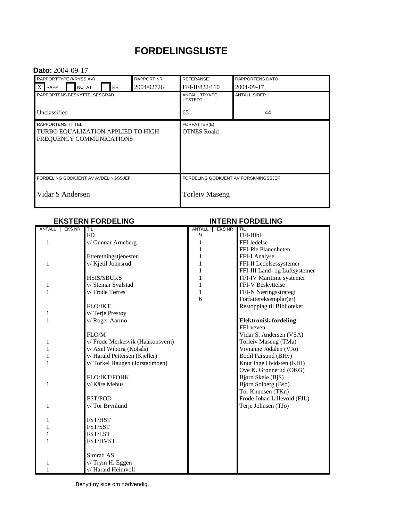# **FORDELINGSLISTE**

#### **Dato:** 2004-09-17

| <b>RAPPORT NR.</b><br>RAPPORTTYPE (KRYSS AV) |  |              |  |           |            | <b>REFERANSE</b>                       |  | <b>RAPPORTENS DATO</b> |  |
|----------------------------------------------|--|--------------|--|-----------|------------|----------------------------------------|--|------------------------|--|
| $X$ RAPP                                     |  | <b>NOTAT</b> |  | <b>RR</b> | 2004/02726 | FFI-II/822/110                         |  | 2004-09-17             |  |
| RAPPORTENS BESKYTTELSESGRAD                  |  |              |  |           |            | <b>ANTALL TRYKTE</b><br><b>UTSTEDT</b> |  | <b>ANTALL SIDER</b>    |  |
| Unclassified                                 |  |              |  |           |            | 65                                     |  | 44                     |  |
| <b>RAPPORTENS TITTEL</b>                     |  |              |  |           |            | FORFATTER(E)                           |  |                        |  |
| TURBO EQUALIZATION APPLIED TO HIGH           |  |              |  |           |            | <b>OTNES Roald</b>                     |  |                        |  |
| FREQUENCY COMMUNICATIONS                     |  |              |  |           |            |                                        |  |                        |  |
|                                              |  |              |  |           |            |                                        |  |                        |  |
|                                              |  |              |  |           |            |                                        |  |                        |  |
|                                              |  |              |  |           |            |                                        |  |                        |  |
| FORDELING GODKJENT AV AVDELINGSSJEF          |  |              |  |           |            | FORDELING GODKJENT AV FORSKNINGSSJEF   |  |                        |  |
| Vidar S Andersen                             |  |              |  |           |            | <b>Torleiv Maseng</b>                  |  |                        |  |
|                                              |  |              |  |           |            |                                        |  |                        |  |

#### **EKSTERN FORDELING INTERN FORDELING**

| ANTALL EKS NR | TIL                             |              | ANTALL EKS NR | TIL                           |
|---------------|---------------------------------|--------------|---------------|-------------------------------|
|               | FD                              | 9            |               | FFI-Bibl                      |
| 1             | v/ Gunnar Arneberg              | 1            |               | FFI-ledelse                   |
|               |                                 | 1            |               | FFI-Ple Planenheten           |
|               | Etteretningstjenesten           | 1            |               | FFI-I Analyse                 |
| 1             | v/ Kjetil Johnsrud              | 1            |               | FFI-II Ledelsessystemer       |
|               |                                 | 1            |               | FFI-III Land- og Luftsystemer |
|               | <b>HSIS/SBUKS</b>               | 1            |               | FFI-IV Maritime systemer      |
| 1             | v/ Steinar Svalstad             | $\mathbf{1}$ |               | FFI-V Beskyttelse             |
| 1             | v/Frode Tørres                  | $\mathbf{1}$ |               | FFI-N Næringsstrategi         |
|               |                                 | 6            |               | Forfattereksemplar(er)        |
|               | <b>FLO/IKT</b>                  |              |               | Restopplag til Biblioteket    |
| 1             | v/Terje Prestøy                 |              |               |                               |
| 1             | v/Roger Aarmo                   |              |               | <b>Elektronisk fordeling:</b> |
|               |                                 |              |               | FFI-veven                     |
|               | FLO/M                           |              |               | Vidar S. Andersen (VSA)       |
| 1             | v/Frode Merkesvik (Haakonsvern) |              |               | Torleiv Maseng (TMa)          |
|               | v/ Axel Wiborg (Kolsås)         |              |               | Vivianne Jodalen (VJo)        |
|               | v/Harald Pettersen (Kjeller)    |              |               | Bodil Farsund (BHv)           |
| 1             | v/Torkel Haugen (Jørstadmoen)   |              |               | Knut Inge Hvidsten (KIH)      |
|               |                                 |              |               | Ove K. Grønnerud (OKG)        |
|               | FLO/IKT/FOHK                    |              |               | Bjørn Skeie (BjS)             |
| 1             | v/ Kåre Mehus                   |              |               | Bjørn Solberg (Bso)           |
|               |                                 |              |               | Tor Knudsen (TKn)             |
|               | <b>FST/POD</b>                  |              |               | Frode Johan Lillevold (FJL)   |
| 1             | v/Tor Brynlund                  |              |               | Terje Johnsen (TJo)           |
|               |                                 |              |               |                               |
| 1             | FST/HST                         |              |               |                               |
|               | FST/SST                         |              |               |                               |
|               | FST/LST                         |              |               |                               |
| 1             | FST/HVST                        |              |               |                               |
|               |                                 |              |               |                               |
|               | Simrad AS                       |              |               |                               |
| 1             | v/Trym H. Eggen                 |              |               |                               |
|               | v/ Harald Heimvoll              |              |               |                               |

Benytt ny side om nødvendig.